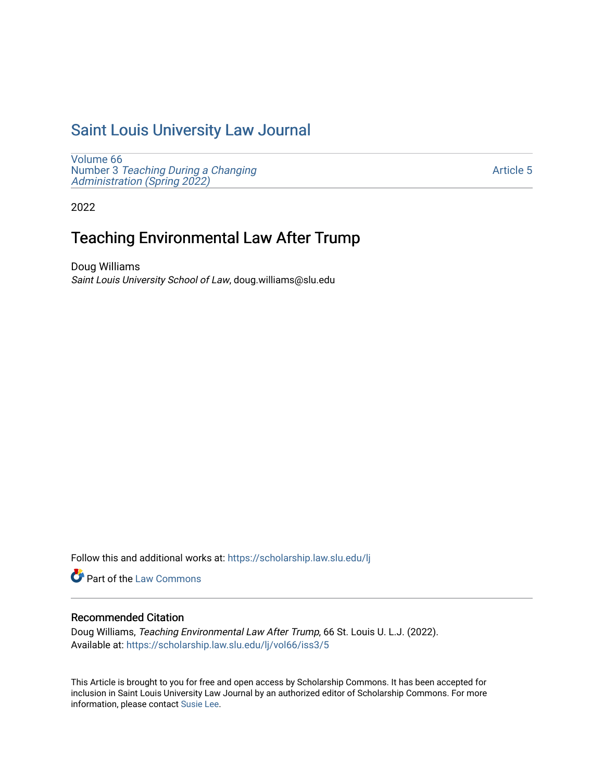# [Saint Louis University Law Journal](https://scholarship.law.slu.edu/lj)

[Volume 66](https://scholarship.law.slu.edu/lj/vol66) Number 3 [Teaching During a Changing](https://scholarship.law.slu.edu/lj/vol66/iss3)  Administration (Spring 2022)

[Article 5](https://scholarship.law.slu.edu/lj/vol66/iss3/5) 

2022

# Teaching Environmental Law After Trump

Doug Williams Saint Louis University School of Law, doug.williams@slu.edu

Follow this and additional works at: [https://scholarship.law.slu.edu/lj](https://scholarship.law.slu.edu/lj?utm_source=scholarship.law.slu.edu%2Flj%2Fvol66%2Fiss3%2F5&utm_medium=PDF&utm_campaign=PDFCoverPages) 

Part of the [Law Commons](https://network.bepress.com/hgg/discipline/578?utm_source=scholarship.law.slu.edu%2Flj%2Fvol66%2Fiss3%2F5&utm_medium=PDF&utm_campaign=PDFCoverPages)

# Recommended Citation

Doug Williams, Teaching Environmental Law After Trump, 66 St. Louis U. L.J. (2022). Available at: [https://scholarship.law.slu.edu/lj/vol66/iss3/5](https://scholarship.law.slu.edu/lj/vol66/iss3/5?utm_source=scholarship.law.slu.edu%2Flj%2Fvol66%2Fiss3%2F5&utm_medium=PDF&utm_campaign=PDFCoverPages) 

This Article is brought to you for free and open access by Scholarship Commons. It has been accepted for inclusion in Saint Louis University Law Journal by an authorized editor of Scholarship Commons. For more information, please contact [Susie Lee](mailto:susie.lee@slu.edu).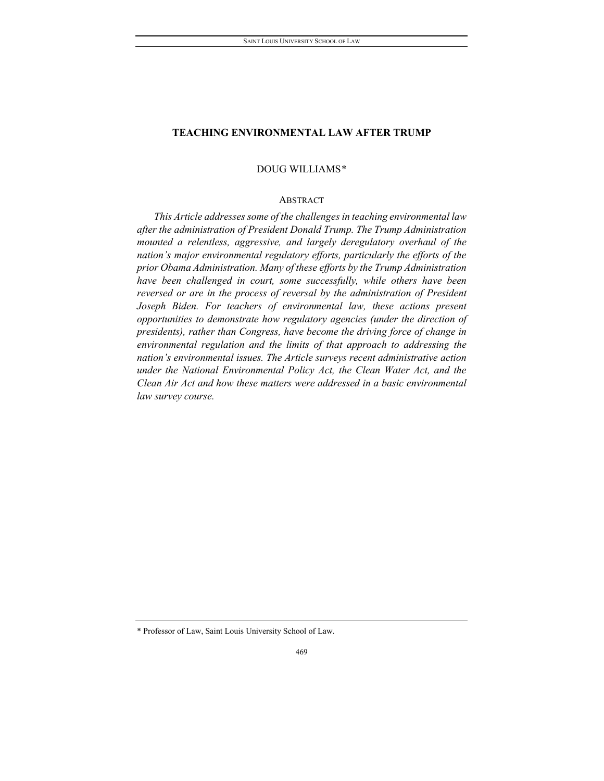# DOUG WILLIAMS[\\*](#page-1-0)

#### ABSTRACT

*This Article addresses some of the challenges in teaching environmental law after the administration of President Donald Trump. The Trump Administration mounted a relentless, aggressive, and largely deregulatory overhaul of the nation's major environmental regulatory efforts, particularly the efforts of the prior Obama Administration. Many of these efforts by the Trump Administration have been challenged in court, some successfully, while others have been reversed or are in the process of reversal by the administration of President Joseph Biden. For teachers of environmental law, these actions present opportunities to demonstrate how regulatory agencies (under the direction of presidents), rather than Congress, have become the driving force of change in environmental regulation and the limits of that approach to addressing the nation's environmental issues. The Article surveys recent administrative action under the National Environmental Policy Act, the Clean Water Act, and the Clean Air Act and how these matters were addressed in a basic environmental law survey course.*

<span id="page-1-0"></span><sup>\*</sup> Professor of Law, Saint Louis University School of Law.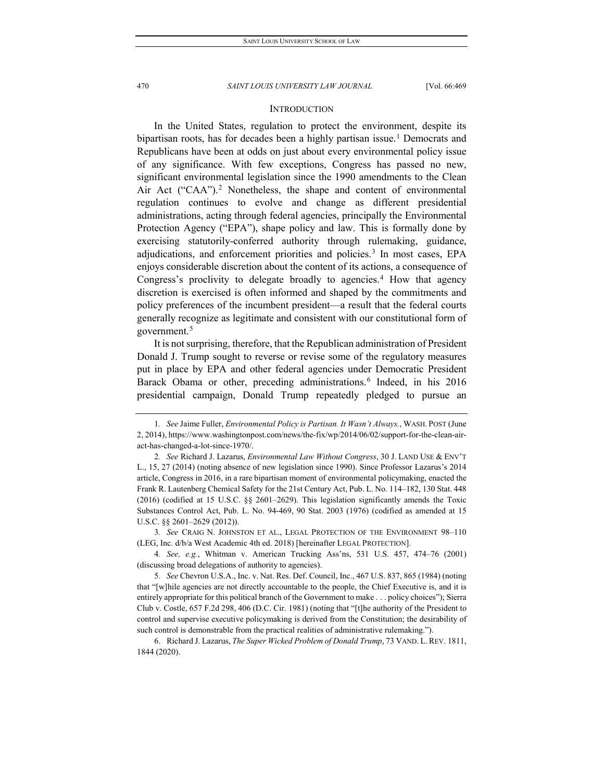## **INTRODUCTION**

In the United States, regulation to protect the environment, despite its bipartisan roots, has for decades been a highly partisan issue.<sup>[1](#page-2-0)</sup> Democrats and Republicans have been at odds on just about every environmental policy issue of any significance. With few exceptions, Congress has passed no new, significant environmental legislation since the 1990 amendments to the Clean Air Act ("CAA").<sup>[2](#page-2-1)</sup> Nonetheless, the shape and content of environmental regulation continues to evolve and change as different presidential administrations, acting through federal agencies, principally the Environmental Protection Agency ("EPA"), shape policy and law. This is formally done by exercising statutorily-conferred authority through rulemaking, guidance, adjudications, and enforcement priorities and policies.<sup>[3](#page-2-2)</sup> In most cases, EPA enjoys considerable discretion about the content of its actions, a consequence of Congress's proclivity to delegate broadly to agencies.<sup>[4](#page-2-3)</sup> How that agency discretion is exercised is often informed and shaped by the commitments and policy preferences of the incumbent president—a result that the federal courts generally recognize as legitimate and consistent with our constitutional form of government.[5](#page-2-4)

It is not surprising, therefore, that the Republican administration of President Donald J. Trump sought to reverse or revise some of the regulatory measures put in place by EPA and other federal agencies under Democratic President Barack Obama or other, preceding administrations.<sup>[6](#page-2-5)</sup> Indeed, in his 2016 presidential campaign, Donald Trump repeatedly pledged to pursue an

<span id="page-2-2"></span>3*. See* CRAIG N. JOHNSTON ET AL., LEGAL PROTECTION OF THE ENVIRONMENT 98–110 (LEG, Inc. d/b/a West Academic 4th ed. 2018) [hereinafter LEGAL PROTECTION].

<span id="page-2-0"></span><sup>1</sup>*. See* Jaime Fuller, *Environmental Policy is Partisan. It Wasn't Always.*, WASH. POST (June 2, 2014), https://www.washingtonpost.com/news/the-fix/wp/2014/06/02/support-for-the-clean-airact-has-changed-a-lot-since-1970/.

<span id="page-2-1"></span><sup>2</sup>*. See* Richard J. Lazarus, *Environmental Law Without Congress*, 30 J. LAND USE & ENV'T L., 15, 27 (2014) (noting absence of new legislation since 1990). Since Professor Lazarus's 2014 article, Congress in 2016, in a rare bipartisan moment of environmental policymaking, enacted the Frank R. Lautenberg Chemical Safety for the 21st Century Act, Pub. L. No. 114–182, 130 Stat. 448 (2016) (codified at 15 U.S.C. §§ 2601–2629). This legislation significantly amends the Toxic Substances Control Act, Pub. L. No. 94-469, 90 Stat. 2003 (1976) (codified as amended at 15 U.S.C. §§ 2601–2629 (2012)).

<span id="page-2-3"></span><sup>4</sup>*. See, e.g.*, Whitman v. American Trucking Ass'ns, 531 U.S. 457, 474–76 (2001) (discussing broad delegations of authority to agencies).

<span id="page-2-4"></span><sup>5</sup>*. See* Chevron U.S.A., Inc. v. Nat. Res. Def. Council, Inc., 467 U.S. 837, 865 (1984) (noting that "[w]hile agencies are not directly accountable to the people, the Chief Executive is, and it is entirely appropriate for this political branch of the Government to make . . . policy choices"); Sierra Club v. Costle, 657 F.2d 298, 406 (D.C. Cir. 1981) (noting that "[t]he authority of the President to control and supervise executive policymaking is derived from the Constitution; the desirability of such control is demonstrable from the practical realities of administrative rulemaking.").

<span id="page-2-5"></span><sup>6.</sup> Richard J. Lazarus, *The Super Wicked Problem of Donald Trump*, 73 VAND. L. REV. 1811, 1844 (2020).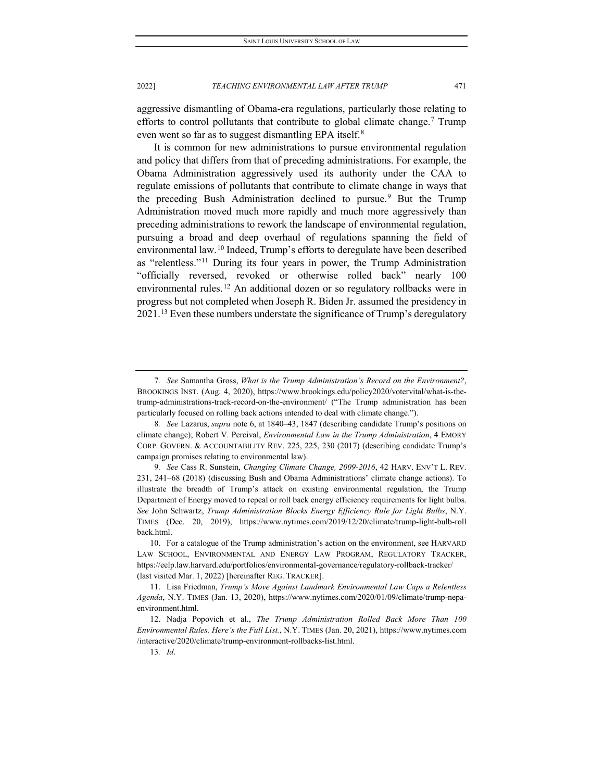aggressive dismantling of Obama-era regulations, particularly those relating to efforts to control pollutants that contribute to global climate change.<sup>[7](#page-3-0)</sup> Trump even went so far as to suggest dismantling EPA itself.<sup>[8](#page-3-1)</sup>

It is common for new administrations to pursue environmental regulation and policy that differs from that of preceding administrations. For example, the Obama Administration aggressively used its authority under the CAA to regulate emissions of pollutants that contribute to climate change in ways that the preceding Bush Administration declined to pursue.<sup>[9](#page-3-2)</sup> But the Trump Administration moved much more rapidly and much more aggressively than preceding administrations to rework the landscape of environmental regulation, pursuing a broad and deep overhaul of regulations spanning the field of environmental law.[10](#page-3-3) Indeed, Trump's efforts to deregulate have been described as "relentless."[11](#page-3-4) During its four years in power, the Trump Administration "officially reversed, revoked or otherwise rolled back" nearly 100 environmental rules.<sup>[12](#page-3-5)</sup> An additional dozen or so regulatory rollbacks were in progress but not completed when Joseph R. Biden Jr. assumed the presidency in 2021.<sup>[13](#page-3-6)</sup> Even these numbers understate the significance of Trump's deregulatory

<span id="page-3-0"></span><sup>7</sup>*. See* Samantha Gross, *What is the Trump Administration's Record on the Environment?*, BROOKINGS INST. (Aug. 4, 2020), https://www.brookings.edu/policy2020/votervital/what-is-thetrump-administrations-track-record-on-the-environment/ ("The Trump administration has been particularly focused on rolling back actions intended to deal with climate change.").

<span id="page-3-1"></span><sup>8</sup>*. See* Lazarus, *supra* note 6, at 1840–43, 1847 (describing candidate Trump's positions on climate change); Robert V. Percival, *Environmental Law in the Trump Administration*, 4 EMORY CORP. GOVERN. & ACCOUNTABILITY REV. 225, 225, 230 (2017) (describing candidate Trump's campaign promises relating to environmental law).

<span id="page-3-2"></span><sup>9</sup>*. See* Cass R. Sunstein, *Changing Climate Change, 2009-2016*, 42 HARV. ENV'T L. REV. 231, 241–68 (2018) (discussing Bush and Obama Administrations' climate change actions). To illustrate the breadth of Trump's attack on existing environmental regulation, the Trump Department of Energy moved to repeal or roll back energy efficiency requirements for light bulbs. *See* John Schwartz, *Trump Administration Blocks Energy Efficiency Rule for Light Bulbs*, N.Y. TIMES (Dec. 20, 2019), https://www.nytimes.com/2019/12/20/climate/trump-light-bulb-roll back.html.

<span id="page-3-3"></span><sup>10.</sup> For a catalogue of the Trump administration's action on the environment, see HARVARD LAW SCHOOL, ENVIRONMENTAL AND ENERGY LAW PROGRAM, REGULATORY TRACKER, https://eelp.law.harvard.edu/portfolios/environmental-governance/regulatory-rollback-tracker/ (last visited Mar. 1, 2022) [hereinafter REG. TRACKER].

<span id="page-3-4"></span><sup>11.</sup> Lisa Friedman, *Trump's Move Against Landmark Environmental Law Caps a Relentless Agenda*, N.Y. TIMES (Jan. 13, 2020), https://www.nytimes.com/2020/01/09/climate/trump-nepaenvironment.html.

<span id="page-3-6"></span><span id="page-3-5"></span><sup>12.</sup> Nadja Popovich et al., *The Trump Administration Rolled Back More Than 100 Environmental Rules. Here's the Full List.*, N.Y. TIMES (Jan. 20, 2021), https://www.nytimes.com /interactive/2020/climate/trump-environment-rollbacks-list.html.

<sup>13</sup>*. Id*.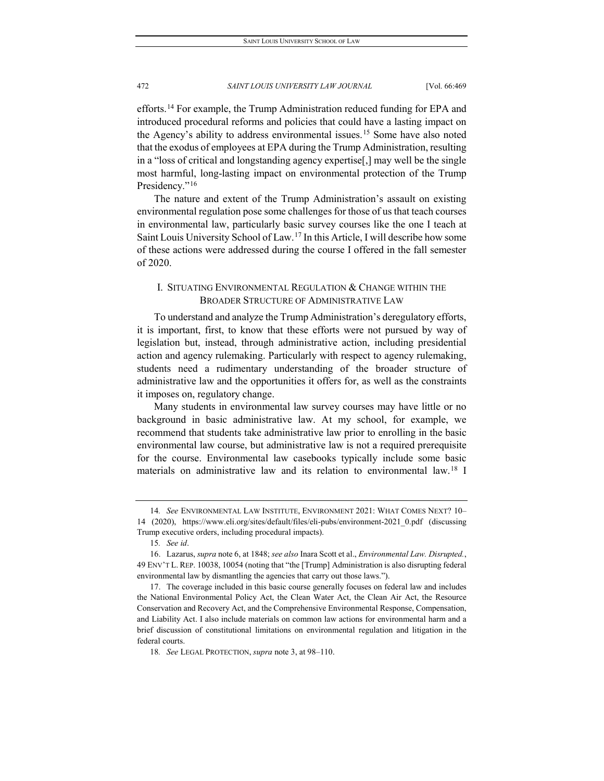efforts.[14](#page-4-0) For example, the Trump Administration reduced funding for EPA and introduced procedural reforms and policies that could have a lasting impact on the Agency's ability to address environmental issues.<sup>[15](#page-4-1)</sup> Some have also noted that the exodus of employees at EPA during the Trump Administration, resulting in a "loss of critical and longstanding agency expertise[,] may well be the single most harmful, long-lasting impact on environmental protection of the Trump Presidency."<sup>[16](#page-4-2)</sup>

The nature and extent of the Trump Administration's assault on existing environmental regulation pose some challenges for those of us that teach courses in environmental law, particularly basic survey courses like the one I teach at Saint Louis University School of Law.[17](#page-4-3) In this Article, I will describe how some of these actions were addressed during the course I offered in the fall semester of 2020.

# I. SITUATING ENVIRONMENTAL REGULATION & CHANGE WITHIN THE BROADER STRUCTURE OF ADMINISTRATIVE LAW

To understand and analyze the Trump Administration's deregulatory efforts, it is important, first, to know that these efforts were not pursued by way of legislation but, instead, through administrative action, including presidential action and agency rulemaking. Particularly with respect to agency rulemaking, students need a rudimentary understanding of the broader structure of administrative law and the opportunities it offers for, as well as the constraints it imposes on, regulatory change.

Many students in environmental law survey courses may have little or no background in basic administrative law. At my school, for example, we recommend that students take administrative law prior to enrolling in the basic environmental law course, but administrative law is not a required prerequisite for the course. Environmental law casebooks typically include some basic materials on administrative law and its relation to environmental law.[18](#page-4-4) I

<span id="page-4-0"></span><sup>14</sup>*. See* ENVIRONMENTAL LAW INSTITUTE, ENVIRONMENT 2021: WHAT COMES NEXT? 10– 14 (2020), https://www.eli.org/sites/default/files/eli-pubs/environment-2021\_0.pdf (discussing Trump executive orders, including procedural impacts).

<sup>15</sup>*. See id*.

<span id="page-4-2"></span><span id="page-4-1"></span><sup>16.</sup> Lazarus, *supra* note 6, at 1848; *see also* Inara Scott et al., *Environmental Law. Disrupted.*, 49 ENV'T L. REP. 10038, 10054 (noting that "the [Trump] Administration is also disrupting federal environmental law by dismantling the agencies that carry out those laws.").

<span id="page-4-3"></span><sup>17.</sup> The coverage included in this basic course generally focuses on federal law and includes the National Environmental Policy Act, the Clean Water Act, the Clean Air Act, the Resource Conservation and Recovery Act, and the Comprehensive Environmental Response, Compensation, and Liability Act. I also include materials on common law actions for environmental harm and a brief discussion of constitutional limitations on environmental regulation and litigation in the federal courts.

<span id="page-4-4"></span><sup>18</sup>*. See* LEGAL PROTECTION, *supra* note 3, at 98–110.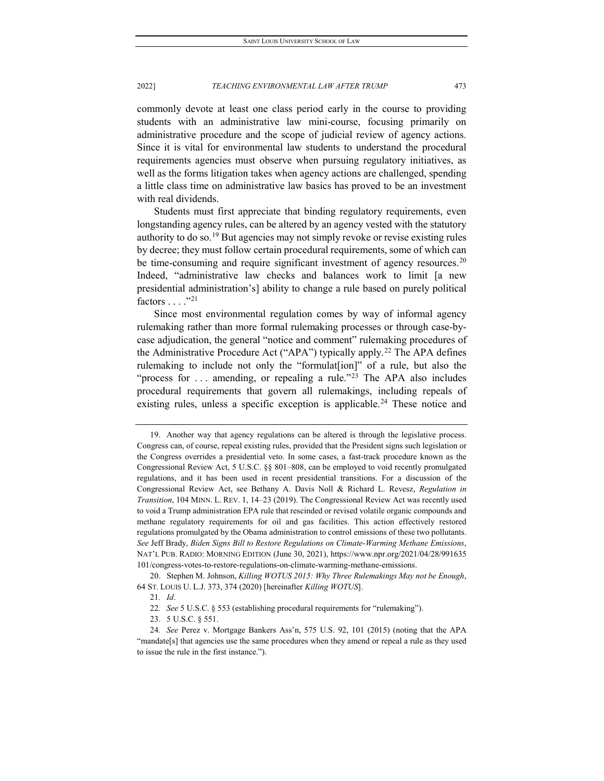commonly devote at least one class period early in the course to providing students with an administrative law mini-course, focusing primarily on administrative procedure and the scope of judicial review of agency actions. Since it is vital for environmental law students to understand the procedural requirements agencies must observe when pursuing regulatory initiatives, as well as the forms litigation takes when agency actions are challenged, spending a little class time on administrative law basics has proved to be an investment with real dividends.

Students must first appreciate that binding regulatory requirements, even longstanding agency rules, can be altered by an agency vested with the statutory authority to do so.<sup>[19](#page-5-0)</sup> But agencies may not simply revoke or revise existing rules by decree; they must follow certain procedural requirements, some of which can be time-consuming and require significant investment of agency resources.<sup>[20](#page-5-1)</sup> Indeed, "administrative law checks and balances work to limit [a new presidential administration's] ability to change a rule based on purely political factors . . . ."[21](#page-5-2)

Since most environmental regulation comes by way of informal agency rulemaking rather than more formal rulemaking processes or through case-bycase adjudication, the general "notice and comment" rulemaking procedures of the Administrative Procedure Act ("APA") typically apply.<sup>[22](#page-5-3)</sup> The APA defines rulemaking to include not only the "formulat<sub>[ion</sub>]" of a rule, but also the "process for ... amending, or repealing a rule."<sup>[23](#page-5-4)</sup> The APA also includes procedural requirements that govern all rulemakings, including repeals of existing rules, unless a specific exception is applicable.<sup>[24](#page-5-5)</sup> These notice and

<span id="page-5-0"></span><sup>19.</sup> Another way that agency regulations can be altered is through the legislative process. Congress can, of course, repeal existing rules, provided that the President signs such legislation or the Congress overrides a presidential veto. In some cases, a fast-track procedure known as the Congressional Review Act, 5 U.S.C. §§ 801–808, can be employed to void recently promulgated regulations, and it has been used in recent presidential transitions. For a discussion of the Congressional Review Act, see Bethany A. Davis Noll & Richard L. Revesz, *Regulation in Transition*, 104 MINN. L. REV. 1, 14–23 (2019). The Congressional Review Act was recently used to void a Trump administration EPA rule that rescinded or revised volatile organic compounds and methane regulatory requirements for oil and gas facilities. This action effectively restored regulations promulgated by the Obama administration to control emissions of these two pollutants. *See* Jeff Brady, *Biden Signs Bill to Restore Regulations on Climate-Warming Methane Emissions*, NAT'L PUB. RADIO: MORNING EDITION (June 30, 2021), https://www.npr.org/2021/04/28/991635 101/congress-votes-to-restore-regulations-on-climate-warming-methane-emissions.

<span id="page-5-2"></span><span id="page-5-1"></span><sup>20.</sup> Stephen M. Johnson, *Killing WOTUS 2015: Why Three Rulemakings May not be Enough*, 64 ST. LOUIS U. L.J. 373, 374 (2020) [hereinafter *Killing WOTUS*].

<sup>21</sup>*. Id*.

<sup>22</sup>*. See* 5 U.S.C. § 553 (establishing procedural requirements for "rulemaking").

<sup>23.</sup> 5 U.S.C. § 551.

<span id="page-5-5"></span><span id="page-5-4"></span><span id="page-5-3"></span><sup>24</sup>*. See* Perez v. Mortgage Bankers Ass'n, 575 U.S. 92, 101 (2015) (noting that the APA "mandate[s] that agencies use the same procedures when they amend or repeal a rule as they used to issue the rule in the first instance.").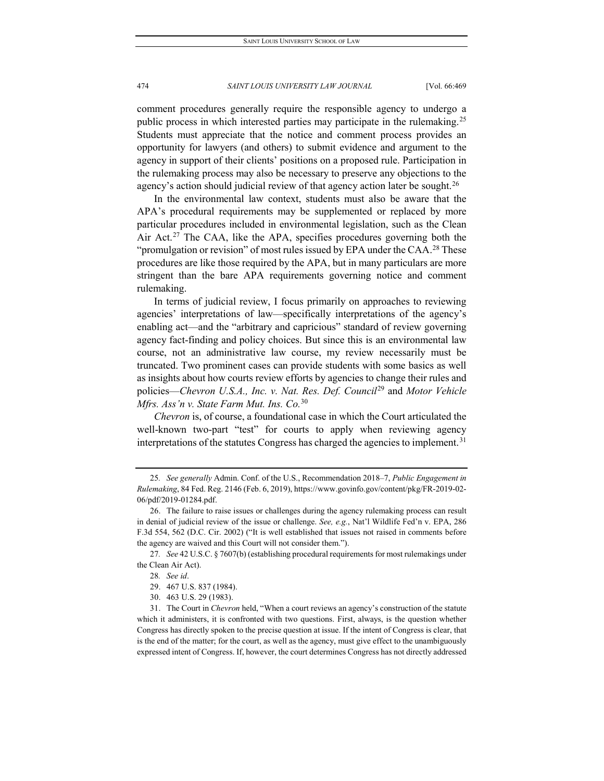comment procedures generally require the responsible agency to undergo a public process in which interested parties may participate in the rulemaking.<sup>[25](#page-6-0)</sup> Students must appreciate that the notice and comment process provides an opportunity for lawyers (and others) to submit evidence and argument to the agency in support of their clients' positions on a proposed rule. Participation in the rulemaking process may also be necessary to preserve any objections to the agency's action should judicial review of that agency action later be sought.<sup>[26](#page-6-1)</sup>

In the environmental law context, students must also be aware that the APA's procedural requirements may be supplemented or replaced by more particular procedures included in environmental legislation, such as the Clean Air Act.<sup>[27](#page-6-2)</sup> The CAA, like the APA, specifies procedures governing both the "promulgation or revision" of most rules issued by EPA under the CAA.<sup>[28](#page-6-3)</sup> These procedures are like those required by the APA, but in many particulars are more stringent than the bare APA requirements governing notice and comment rulemaking.

In terms of judicial review, I focus primarily on approaches to reviewing agencies' interpretations of law—specifically interpretations of the agency's enabling act—and the "arbitrary and capricious" standard of review governing agency fact-finding and policy choices. But since this is an environmental law course, not an administrative law course, my review necessarily must be truncated. Two prominent cases can provide students with some basics as well as insights about how courts review efforts by agencies to change their rules and policies—*Chevron U.S.A., Inc. v. Nat. Res. Def. Council*[29](#page-6-4) and *Motor Vehicle Mfrs. Ass'n v. State Farm Mut. Ins. Co.*[30](#page-6-5)

*Chevron* is, of course, a foundational case in which the Court articulated the well-known two-part "test" for courts to apply when reviewing agency interpretations of the statutes Congress has charged the agencies to implement.<sup>[31](#page-6-6)</sup>

<span id="page-6-3"></span><span id="page-6-2"></span>27*. See* 42 U.S.C. § 7607(b) (establishing procedural requirements for most rulemakings under the Clean Air Act).

<span id="page-6-0"></span><sup>25</sup>*. See generally* Admin. Conf. of the U.S., Recommendation 2018–7, *Public Engagement in Rulemaking*, 84 Fed. Reg. 2146 (Feb. 6, 2019), https://www.govinfo.gov/content/pkg/FR-2019-02- 06/pdf/2019-01284.pdf.

<span id="page-6-1"></span><sup>26.</sup> The failure to raise issues or challenges during the agency rulemaking process can result in denial of judicial review of the issue or challenge. *See, e.g.*, Nat'l Wildlife Fed'n v. EPA, 286 F.3d 554, 562 (D.C. Cir. 2002) ("It is well established that issues not raised in comments before the agency are waived and this Court will not consider them.").

<sup>28</sup>*. See id*.

<sup>29.</sup> 467 U.S. 837 (1984).

<sup>30.</sup> 463 U.S. 29 (1983).

<span id="page-6-6"></span><span id="page-6-5"></span><span id="page-6-4"></span><sup>31.</sup> The Court in *Chevron* held, "When a court reviews an agency's construction of the statute which it administers, it is confronted with two questions. First, always, is the question whether Congress has directly spoken to the precise question at issue. If the intent of Congress is clear, that is the end of the matter; for the court, as well as the agency, must give effect to the unambiguously expressed intent of Congress. If, however, the court determines Congress has not directly addressed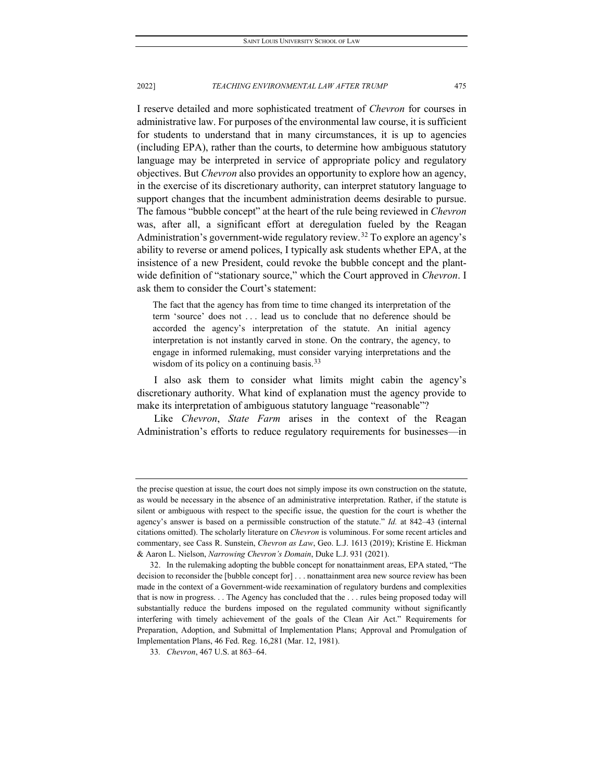I reserve detailed and more sophisticated treatment of *Chevron* for courses in administrative law. For purposes of the environmental law course, it is sufficient for students to understand that in many circumstances, it is up to agencies (including EPA), rather than the courts, to determine how ambiguous statutory language may be interpreted in service of appropriate policy and regulatory objectives. But *Chevron* also provides an opportunity to explore how an agency, in the exercise of its discretionary authority, can interpret statutory language to support changes that the incumbent administration deems desirable to pursue. The famous "bubble concept" at the heart of the rule being reviewed in *Chevron*  was, after all, a significant effort at deregulation fueled by the Reagan Administration's government-wide regulatory review.<sup>[32](#page-7-0)</sup> To explore an agency's ability to reverse or amend polices, I typically ask students whether EPA, at the insistence of a new President, could revoke the bubble concept and the plantwide definition of "stationary source," which the Court approved in *Chevron*. I ask them to consider the Court's statement:

The fact that the agency has from time to time changed its interpretation of the term 'source' does not . . . lead us to conclude that no deference should be accorded the agency's interpretation of the statute. An initial agency interpretation is not instantly carved in stone. On the contrary, the agency, to engage in informed rulemaking, must consider varying interpretations and the wisdom of its policy on a continuing basis.  $33$ 

I also ask them to consider what limits might cabin the agency's discretionary authority. What kind of explanation must the agency provide to make its interpretation of ambiguous statutory language "reasonable"?

Like *Chevron*, *State Farm* arises in the context of the Reagan Administration's efforts to reduce regulatory requirements for businesses—in

the precise question at issue, the court does not simply impose its own construction on the statute, as would be necessary in the absence of an administrative interpretation. Rather, if the statute is silent or ambiguous with respect to the specific issue, the question for the court is whether the agency's answer is based on a permissible construction of the statute." *Id.* at 842–43 (internal citations omitted). The scholarly literature on *Chevron* is voluminous. For some recent articles and commentary, see Cass R. Sunstein, *Chevron as Law*, Geo. L.J. 1613 (2019); Kristine E. Hickman & Aaron L. Nielson, *Narrowing Chevron's Domain*, Duke L.J. 931 (2021).

<span id="page-7-0"></span><sup>32.</sup> In the rulemaking adopting the bubble concept for nonattainment areas, EPA stated, "The decision to reconsider the [bubble concept for] . . . nonattainment area new source review has been made in the context of a Government-wide reexamination of regulatory burdens and complexities that is now in progress. . . The Agency has concluded that the . . . rules being proposed today will substantially reduce the burdens imposed on the regulated community without significantly interfering with timely achievement of the goals of the Clean Air Act." Requirements for Preparation, Adoption, and Submittal of Implementation Plans; Approval and Promulgation of Implementation Plans, 46 Fed. Reg. 16,281 (Mar. 12, 1981).

<span id="page-7-1"></span><sup>33</sup>*. Chevron*, 467 U.S. at 863–64.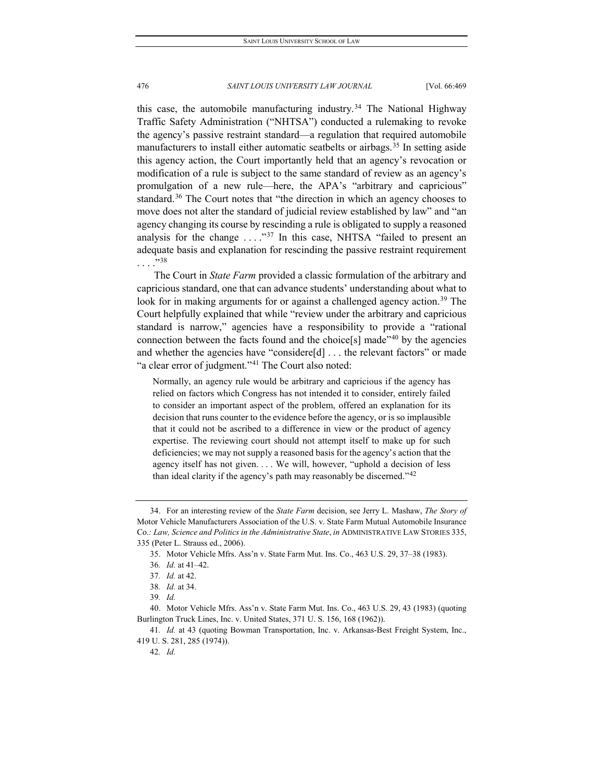this case, the automobile manufacturing industry.[34](#page-8-0) The National Highway Traffic Safety Administration ("NHTSA") conducted a rulemaking to revoke the agency's passive restraint standard—a regulation that required automobile manufacturers to install either automatic seatbelts or airbags.<sup>[35](#page-8-1)</sup> In setting aside this agency action, the Court importantly held that an agency's revocation or modification of a rule is subject to the same standard of review as an agency's promulgation of a new rule—here, the APA's "arbitrary and capricious" standard.<sup>[36](#page-8-2)</sup> The Court notes that "the direction in which an agency chooses to move does not alter the standard of judicial review established by law" and "an agency changing its course by rescinding a rule is obligated to supply a reasoned analysis for the change  $\dots$ ."<sup>[37](#page-8-3)</sup> In this case, NHTSA "failed to present an adequate basis and explanation for rescinding the passive restraint requirement  $\ldots$  . . . 38

The Court in *State Farm* provided a classic formulation of the arbitrary and capricious standard, one that can advance students' understanding about what to look for in making arguments for or against a challenged agency action.<sup>[39](#page-8-5)</sup> The Court helpfully explained that while "review under the arbitrary and capricious standard is narrow," agencies have a responsibility to provide a "rational connection between the facts found and the choice[s] made"[40](#page-8-6) by the agencies and whether the agencies have "considere[d] . . . the relevant factors" or made "a clear error of judgment."<sup>[41](#page-8-7)</sup> The Court also noted:

Normally, an agency rule would be arbitrary and capricious if the agency has relied on factors which Congress has not intended it to consider, entirely failed to consider an important aspect of the problem, offered an explanation for its decision that runs counter to the evidence before the agency, or is so implausible that it could not be ascribed to a difference in view or the product of agency expertise. The reviewing court should not attempt itself to make up for such deficiencies; we may not supply a reasoned basis for the agency's action that the agency itself has not given. . . . We will, however, "uphold a decision of less than ideal clarity if the agency's path may reasonably be discerned."<sup>[42](#page-8-8)</sup>

<span id="page-8-1"></span><span id="page-8-0"></span><sup>34.</sup> For an interesting review of the *State Farm* decision, see Jerry L. Mashaw, *The Story of*  Motor Vehicle Manufacturers Association of the U.S. v. State Farm Mutual Automobile Insurance Co.*: Law, Science and Politics in the Administrative State*, *in* ADMINISTRATIVE LAW STORIES 335, 335 (Peter L. Strauss ed., 2006).

<sup>35.</sup> Motor Vehicle Mfrs. Ass'n v. State Farm Mut. Ins. Co., 463 U.S. 29, 37–38 (1983).

<sup>36</sup>*. Id.* at 41–42.

<sup>37</sup>*. Id.* at 42.

<sup>38</sup>*. Id.* at 34.

<sup>39</sup>*. Id.*

<span id="page-8-6"></span><span id="page-8-5"></span><span id="page-8-4"></span><span id="page-8-3"></span><span id="page-8-2"></span><sup>40.</sup> Motor Vehicle Mfrs. Ass'n v. State Farm Mut. Ins. Co., 463 U.S. 29, 43 (1983) (quoting Burlington Truck Lines, Inc. v. United States, 371 U. S. 156, 168 (1962)).

<span id="page-8-8"></span><span id="page-8-7"></span><sup>41</sup>*. Id.* at 43 (quoting Bowman Transportation, Inc. v. Arkansas-Best Freight System, Inc., 419 U. S. 281, 285 (1974)).

<sup>42</sup>*. Id.*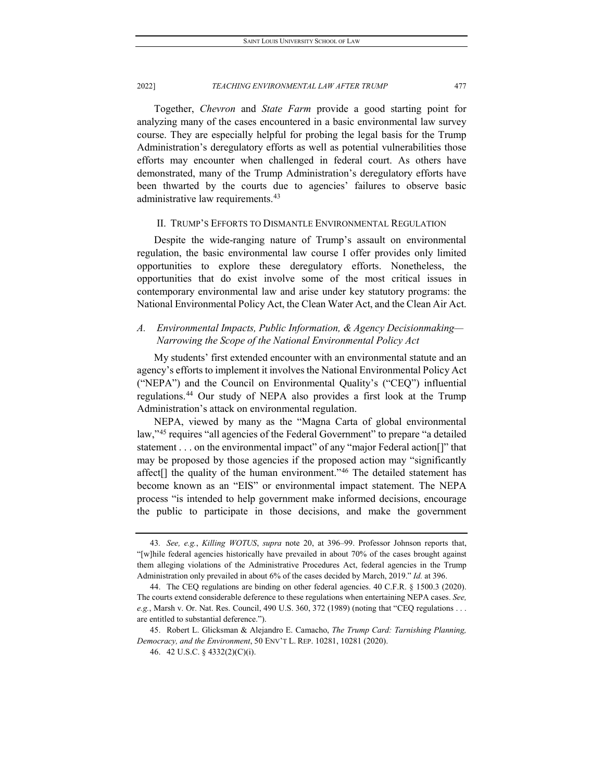Together, *Chevron* and *State Farm* provide a good starting point for analyzing many of the cases encountered in a basic environmental law survey course. They are especially helpful for probing the legal basis for the Trump Administration's deregulatory efforts as well as potential vulnerabilities those efforts may encounter when challenged in federal court. As others have demonstrated, many of the Trump Administration's deregulatory efforts have been thwarted by the courts due to agencies' failures to observe basic administrative law requirements.<sup>[43](#page-9-0)</sup>

#### II. TRUMP'S EFFORTS TO DISMANTLE ENVIRONMENTAL REGULATION

Despite the wide-ranging nature of Trump's assault on environmental regulation, the basic environmental law course I offer provides only limited opportunities to explore these deregulatory efforts. Nonetheless, the opportunities that do exist involve some of the most critical issues in contemporary environmental law and arise under key statutory programs: the National Environmental Policy Act, the Clean Water Act, and the Clean Air Act.

# *A. Environmental Impacts, Public Information, & Agency Decisionmaking— Narrowing the Scope of the National Environmental Policy Act*

My students' first extended encounter with an environmental statute and an agency's efforts to implement it involves the National Environmental Policy Act ("NEPA") and the Council on Environmental Quality's ("CEQ") influential regulations.[44](#page-9-1) Our study of NEPA also provides a first look at the Trump Administration's attack on environmental regulation.

NEPA, viewed by many as the "Magna Carta of global environmental law,"<sup>[45](#page-9-2)</sup> requires "all agencies of the Federal Government" to prepare "a detailed statement . . . on the environmental impact" of any "major Federal action[]" that may be proposed by those agencies if the proposed action may "significantly affect[] the quality of the human environment."[46](#page-9-3) The detailed statement has become known as an "EIS" or environmental impact statement. The NEPA process "is intended to help government make informed decisions, encourage the public to participate in those decisions, and make the government

<span id="page-9-0"></span><sup>43</sup>*. See, e.g.*, *Killing WOTUS*, *supra* note 20, at 396–99. Professor Johnson reports that, "[w]hile federal agencies historically have prevailed in about 70% of the cases brought against them alleging violations of the Administrative Procedures Act, federal agencies in the Trump Administration only prevailed in about 6% of the cases decided by March, 2019." *Id.* at 396.

<span id="page-9-1"></span><sup>44.</sup> The CEQ regulations are binding on other federal agencies. 40 C.F.R. § 1500.3 (2020). The courts extend considerable deference to these regulations when entertaining NEPA cases. *See, e.g.*, Marsh v. Or. Nat. Res. Council, 490 U.S. 360, 372 (1989) (noting that "CEQ regulations . . . are entitled to substantial deference.").

<span id="page-9-3"></span><span id="page-9-2"></span><sup>45.</sup> Robert L. Glicksman & Alejandro E. Camacho, *The Trump Card: Tarnishing Planning, Democracy, and the Environment*, 50 ENV'T L. REP. 10281, 10281 (2020).

<sup>46.</sup> 42 U.S.C. § 4332(2)(C)(i).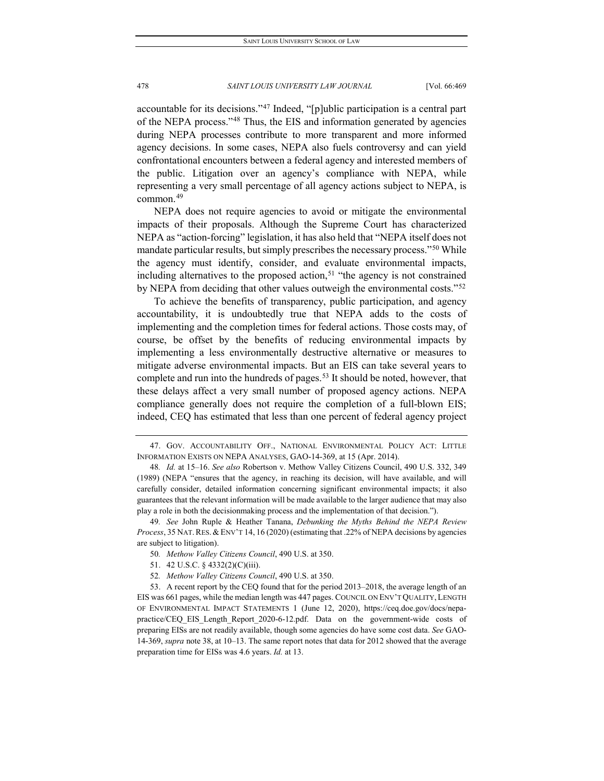accountable for its decisions."[47](#page-10-0) Indeed, "[p]ublic participation is a central part of the NEPA process."[48](#page-10-1) Thus, the EIS and information generated by agencies during NEPA processes contribute to more transparent and more informed agency decisions. In some cases, NEPA also fuels controversy and can yield confrontational encounters between a federal agency and interested members of the public. Litigation over an agency's compliance with NEPA, while representing a very small percentage of all agency actions subject to NEPA, is common.[49](#page-10-2)

NEPA does not require agencies to avoid or mitigate the environmental impacts of their proposals. Although the Supreme Court has characterized NEPA as "action-forcing" legislation, it has also held that "NEPA itself does not mandate particular results, but simply prescribes the necessary process."[50](#page-10-3) While the agency must identify, consider, and evaluate environmental impacts, including alternatives to the proposed action,<sup>[51](#page-10-4)</sup> "the agency is not constrained by NEPA from deciding that other values outweigh the environmental costs."[52](#page-10-5)

To achieve the benefits of transparency, public participation, and agency accountability, it is undoubtedly true that NEPA adds to the costs of implementing and the completion times for federal actions. Those costs may, of course, be offset by the benefits of reducing environmental impacts by implementing a less environmentally destructive alternative or measures to mitigate adverse environmental impacts. But an EIS can take several years to complete and run into the hundreds of pages.<sup>[53](#page-10-6)</sup> It should be noted, however, that these delays affect a very small number of proposed agency actions. NEPA compliance generally does not require the completion of a full-blown EIS; indeed, CEQ has estimated that less than one percent of federal agency project

- 51. 42 U.S.C. § 4332(2)(C)(iii).
- 52*. Methow Valley Citizens Council*, 490 U.S. at 350.

<span id="page-10-0"></span><sup>47.</sup> GOV. ACCOUNTABILITY OFF., NATIONAL ENVIRONMENTAL POLICY ACT: LITTLE INFORMATION EXISTS ON NEPA ANALYSES, GAO-14-369, at 15 (Apr. 2014).

<span id="page-10-1"></span><sup>48</sup>*. Id.* at 15–16. *See also* Robertson v. Methow Valley Citizens Council, 490 U.S. 332, 349 (1989) (NEPA "ensures that the agency, in reaching its decision, will have available, and will carefully consider, detailed information concerning significant environmental impacts; it also guarantees that the relevant information will be made available to the larger audience that may also play a role in both the decisionmaking process and the implementation of that decision.").

<span id="page-10-3"></span><span id="page-10-2"></span><sup>49</sup>*. See* John Ruple & Heather Tanana, *Debunking the Myths Behind the NEPA Review Process*, 35 NAT.RES. &ENV'T 14, 16 (2020) (estimating that .22% of NEPA decisions by agencies are subject to litigation).

<sup>50</sup>*. Methow Valley Citizens Council*, 490 U.S. at 350.

<span id="page-10-6"></span><span id="page-10-5"></span><span id="page-10-4"></span><sup>53.</sup> A recent report by the CEQ found that for the period 2013–2018, the average length of an EIS was 661 pages, while the median length was 447 pages. COUNCIL ON ENV'T QUALITY, LENGTH OF ENVIRONMENTAL IMPACT STATEMENTS 1 (June 12, 2020), https://ceq.doe.gov/docs/nepapractice/CEQ\_EIS\_Length\_Report\_2020-6-12.pdf. Data on the government-wide costs of preparing EISs are not readily available, though some agencies do have some cost data. *See* GAO-14-369, *supra* note 38, at 10–13. The same report notes that data for 2012 showed that the average preparation time for EISs was 4.6 years. *Id.* at 13.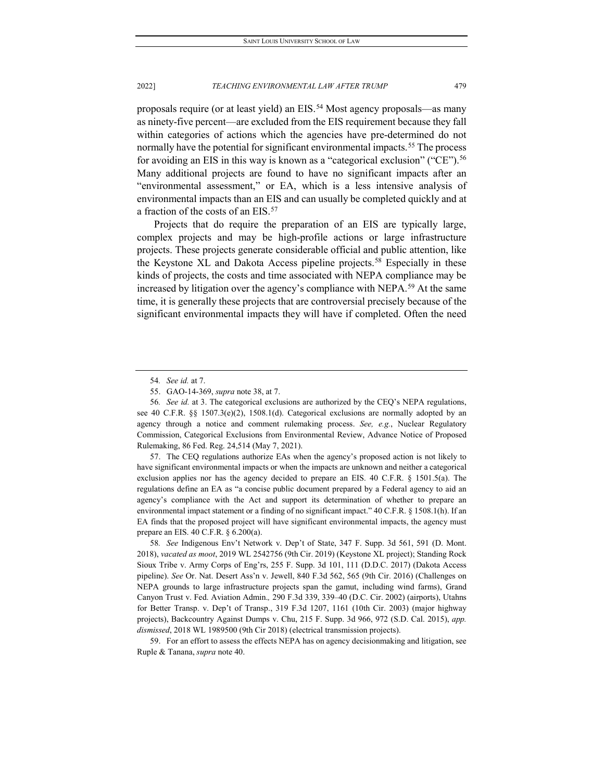proposals require (or at least yield) an EIS.[54](#page-11-0) Most agency proposals—as many as ninety-five percent—are excluded from the EIS requirement because they fall within categories of actions which the agencies have pre-determined do not normally have the potential for significant environmental impacts.<sup>[55](#page-11-1)</sup> The process for avoiding an EIS in this way is known as a "categorical exclusion" ("CE").<sup>[56](#page-11-2)</sup> Many additional projects are found to have no significant impacts after an "environmental assessment," or EA, which is a less intensive analysis of environmental impacts than an EIS and can usually be completed quickly and at a fraction of the costs of an EIS.[57](#page-11-3)

Projects that do require the preparation of an EIS are typically large, complex projects and may be high-profile actions or large infrastructure projects. These projects generate considerable official and public attention, like the Keystone XL and Dakota Access pipeline projects.[58](#page-11-4) Especially in these kinds of projects, the costs and time associated with NEPA compliance may be increased by litigation over the agency's compliance with NEPA.<sup>[59](#page-11-5)</sup> At the same time, it is generally these projects that are controversial precisely because of the significant environmental impacts they will have if completed. Often the need

<span id="page-11-3"></span>57. The CEQ regulations authorize EAs when the agency's proposed action is not likely to have significant environmental impacts or when the impacts are unknown and neither a categorical exclusion applies nor has the agency decided to prepare an EIS. 40 C.F.R. § 1501.5(a). The regulations define an EA as "a concise public document prepared by a Federal agency to aid an agency's compliance with the Act and support its determination of whether to prepare an environmental impact statement or a finding of no significant impact." 40 C.F.R. § 1508.1(h). If an EA finds that the proposed project will have significant environmental impacts, the agency must prepare an EIS. 40 C.F.R. § 6.200(a).

<span id="page-11-4"></span>58*. See* Indigenous Env't Network v. Dep't of State, 347 F. Supp. 3d 561, 591 (D. Mont. 2018), *vacated as moot*, 2019 WL 2542756 (9th Cir. 2019) (Keystone XL project); Standing Rock Sioux Tribe v. Army Corps of Eng'rs, 255 F. Supp. 3d 101, 111 (D.D.C. 2017) (Dakota Access pipeline). *See* Or. Nat. Desert Ass'n v. Jewell, 840 F.3d 562, 565 (9th Cir. 2016) (Challenges on NEPA grounds to large infrastructure projects span the gamut, including wind farms), Grand Canyon Trust v. Fed. Aviation Admin.*,* 290 F.3d 339, 339–40 (D.C. Cir. 2002) (airports), Utahns for Better Transp. v. Dep't of Transp., 319 F.3d 1207, 1161 (10th Cir. 2003) (major highway projects), Backcountry Against Dumps v. Chu, 215 F. Supp. 3d 966, 972 (S.D. Cal. 2015), *app. dismissed*, 2018 WL 1989500 (9th Cir 2018) (electrical transmission projects).

<span id="page-11-5"></span>59. For an effort to assess the effects NEPA has on agency decisionmaking and litigation, see Ruple & Tanana, *supra* note 40.

<sup>54</sup>*. See id.* at 7.

<sup>55.</sup> GAO-14-369, *supra* note 38, at 7.

<span id="page-11-2"></span><span id="page-11-1"></span><span id="page-11-0"></span><sup>56</sup>*. See id.* at 3. The categorical exclusions are authorized by the CEQ's NEPA regulations, see 40 C.F.R. §§ 1507.3(e)(2), 1508.1(d). Categorical exclusions are normally adopted by an agency through a notice and comment rulemaking process. *See, e.g.*, Nuclear Regulatory Commission, Categorical Exclusions from Environmental Review, Advance Notice of Proposed Rulemaking, 86 Fed. Reg. 24,514 (May 7, 2021).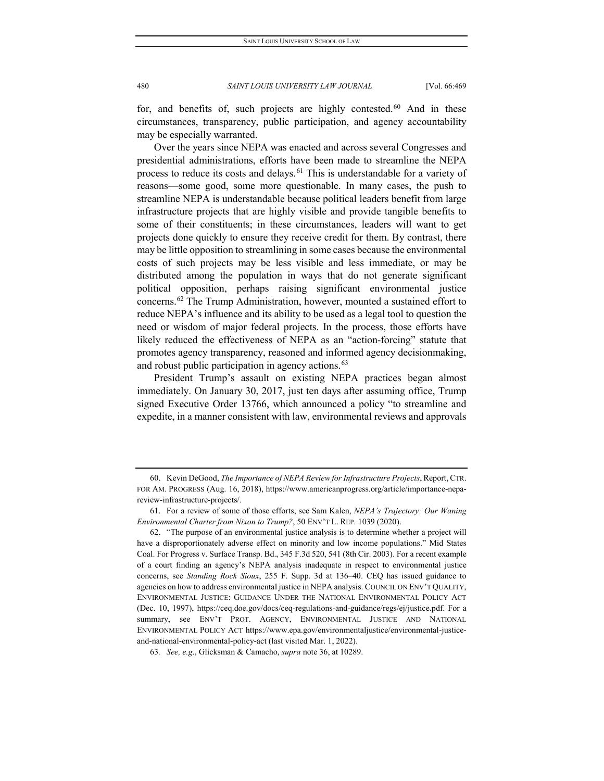for, and benefits of, such projects are highly contested. $60$  And in these circumstances, transparency, public participation, and agency accountability may be especially warranted.

Over the years since NEPA was enacted and across several Congresses and presidential administrations, efforts have been made to streamline the NEPA process to reduce its costs and delays.<sup>[61](#page-12-1)</sup> This is understandable for a variety of reasons—some good, some more questionable. In many cases, the push to streamline NEPA is understandable because political leaders benefit from large infrastructure projects that are highly visible and provide tangible benefits to some of their constituents; in these circumstances, leaders will want to get projects done quickly to ensure they receive credit for them. By contrast, there may be little opposition to streamlining in some cases because the environmental costs of such projects may be less visible and less immediate, or may be distributed among the population in ways that do not generate significant political opposition, perhaps raising significant environmental justice concerns[.62](#page-12-2) The Trump Administration, however, mounted a sustained effort to reduce NEPA's influence and its ability to be used as a legal tool to question the need or wisdom of major federal projects. In the process, those efforts have likely reduced the effectiveness of NEPA as an "action-forcing" statute that promotes agency transparency, reasoned and informed agency decisionmaking, and robust public participation in agency actions.<sup>[63](#page-12-3)</sup>

President Trump's assault on existing NEPA practices began almost immediately. On January 30, 2017, just ten days after assuming office, Trump signed Executive Order 13766, which announced a policy "to streamline and expedite, in a manner consistent with law, environmental reviews and approvals

<span id="page-12-0"></span><sup>60.</sup> Kevin DeGood, *The Importance of NEPA Review for Infrastructure Projects*, Report, CTR. FOR AM. PROGRESS (Aug. 16, 2018), https://www.americanprogress.org/article/importance-nepareview-infrastructure-projects/.

<span id="page-12-1"></span><sup>61.</sup> For a review of some of those efforts, see Sam Kalen, *NEPA's Trajectory: Our Waning Environmental Charter from Nixon to Trump?*, 50 ENV'T L. REP. 1039 (2020).

<span id="page-12-2"></span><sup>62.</sup> "The purpose of an environmental justice analysis is to determine whether a project will have a disproportionately adverse effect on minority and low income populations." Mid States Coal. For Progress v. Surface Transp. Bd., 345 F.3d 520, 541 (8th Cir. 2003). For a recent example of a court finding an agency's NEPA analysis inadequate in respect to environmental justice concerns, see *Standing Rock Sioux*, 255 F. Supp. 3d at 136–40. CEQ has issued guidance to agencies on how to address environmental justice in NEPA analysis. COUNCIL ON ENV'T QUALITY, ENVIRONMENTAL JUSTICE: GUIDANCE UNDER THE NATIONAL ENVIRONMENTAL POLICY ACT (Dec. 10, 1997), https://ceq.doe.gov/docs/ceq-regulations-and-guidance/regs/ej/justice.pdf. For a summary, see ENV'T PROT. AGENCY, ENVIRONMENTAL JUSTICE AND NATIONAL ENVIRONMENTAL POLICY ACT https://www.epa.gov/environmentaljustice/environmental-justiceand-national-environmental-policy-act (last visited Mar. 1, 2022).

<span id="page-12-3"></span><sup>63</sup>*. See, e.g*., Glicksman & Camacho, *supra* note 36, at 10289.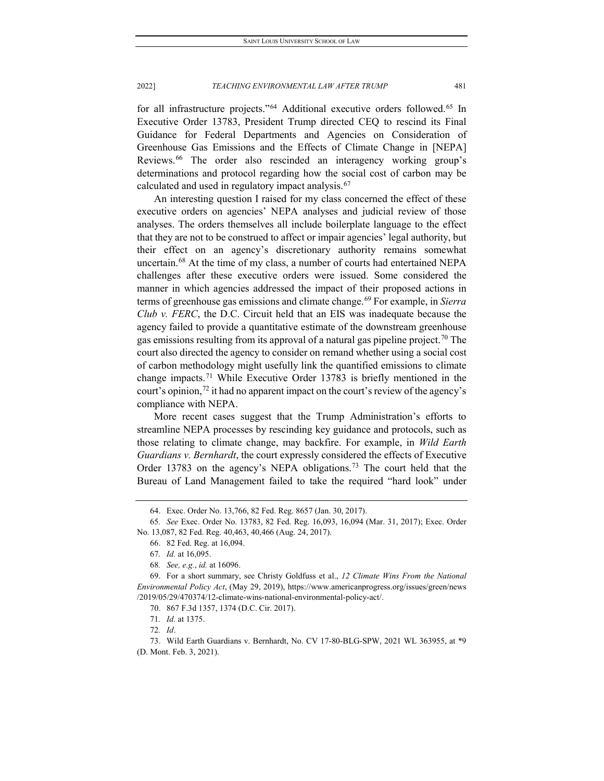for all infrastructure projects."<sup>[64](#page-13-0)</sup> Additional executive orders followed.<sup>[65](#page-13-1)</sup> In Executive Order 13783, President Trump directed CEQ to rescind its Final Guidance for Federal Departments and Agencies on Consideration of Greenhouse Gas Emissions and the Effects of Climate Change in [NEPA] Reviews.[66](#page-13-2) The order also rescinded an interagency working group's determinations and protocol regarding how the social cost of carbon may be calculated and used in regulatory impact analysis. [67](#page-13-3)

An interesting question I raised for my class concerned the effect of these executive orders on agencies' NEPA analyses and judicial review of those analyses. The orders themselves all include boilerplate language to the effect that they are not to be construed to affect or impair agencies' legal authority, but their effect on an agency's discretionary authority remains somewhat uncertain.[68](#page-13-4) At the time of my class, a number of courts had entertained NEPA challenges after these executive orders were issued. Some considered the manner in which agencies addressed the impact of their proposed actions in terms of greenhouse gas emissions and climate change[.69](#page-13-5) For example, in *Sierra Club v. FERC*, the D.C. Circuit held that an EIS was inadequate because the agency failed to provide a quantitative estimate of the downstream greenhouse gas emissions resulting from its approval of a natural gas pipeline project.<sup>[70](#page-13-6)</sup> The court also directed the agency to consider on remand whether using a social cost of carbon methodology might usefully link the quantified emissions to climate change impacts.[71](#page-13-7) While Executive Order 13783 is briefly mentioned in the court's opinion,<sup>[72](#page-13-8)</sup> it had no apparent impact on the court's review of the agency's compliance with NEPA.

More recent cases suggest that the Trump Administration's efforts to streamline NEPA processes by rescinding key guidance and protocols, such as those relating to climate change, may backfire. For example, in *Wild Earth Guardians v. Bernhardt*, the court expressly considered the effects of Executive Order 13783 on the agency's NEPA obligations.<sup>[73](#page-13-9)</sup> The court held that the Bureau of Land Management failed to take the required "hard look" under

<sup>64.</sup> Exec. Order No. 13,766, 82 Fed. Reg. 8657 (Jan. 30, 2017).

<span id="page-13-2"></span><span id="page-13-1"></span><span id="page-13-0"></span><sup>65</sup>*. See* Exec. Order No. 13783, 82 Fed. Reg. 16,093, 16,094 (Mar. 31, 2017); Exec. Order No. 13,087, 82 Fed. Reg. 40,463, 40,466 (Aug. 24, 2017).

<sup>66.</sup> 82 Fed. Reg. at 16,094.

<sup>67</sup>*. Id.* at 16,095.

<sup>68</sup>*. See, e.g.*, *id.* at 16096.

<span id="page-13-6"></span><span id="page-13-5"></span><span id="page-13-4"></span><span id="page-13-3"></span><sup>69.</sup> For a short summary, see Christy Goldfuss et al., *12 Climate Wins From the National Environmental Policy Act*, (May 29, 2019), https://www.americanprogress.org/issues/green/news /2019/05/29/470374/12-climate-wins-national-environmental-policy-act/.

<sup>70.</sup> 867 F.3d 1357, 1374 (D.C. Cir. 2017).

<sup>71</sup>*. Id.* at 1375.

<sup>72</sup>*. Id*.

<span id="page-13-9"></span><span id="page-13-8"></span><span id="page-13-7"></span><sup>73.</sup> Wild Earth Guardians v. Bernhardt, No. CV 17-80-BLG-SPW, 2021 WL 363955, at \*9 (D. Mont. Feb. 3, 2021).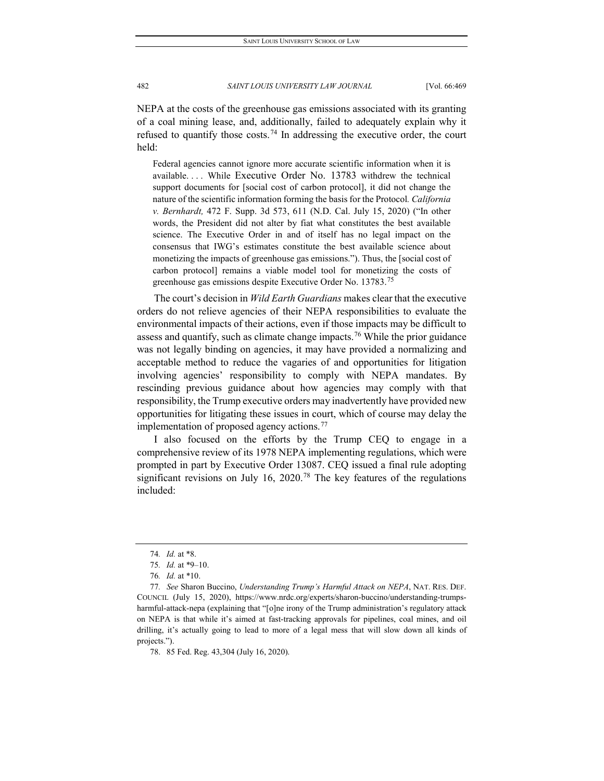NEPA at the costs of the greenhouse gas emissions associated with its granting of a coal mining lease, and, additionally, failed to adequately explain why it refused to quantify those costs.<sup>[74](#page-14-0)</sup> In addressing the executive order, the court held:

Federal agencies cannot ignore more accurate scientific information when it is available. . . . While [Executive](https://1.next.westlaw.com/Link/Document/FullText?findType=Y&serNum=2041340594&pubNum=0001043&originatingDoc=I77a637e0669e11eba660be4ce62361b9&refType=CA&originationContext=document&transitionType=DocumentItem&contextData=(sc.Keycite)) Order No. 13783 withdrew the technical support documents for [social cost of carbon protocol], it did not change the nature of the scientific information forming the basis for the Protocol*. California v. Bernhardt,* 472 F. Supp. 3d 573, 611 (N.D. Cal. July 15, 2020) ("In other words, the President did not alter by fiat what constitutes the best available science. The Executive Order in and of itself has no legal impact on the consensus that IWG's estimates constitute the best available science about monetizing the impacts of greenhouse gas emissions."). Thus, the [social cost of carbon protocol] remains a viable model tool for monetizing the costs of greenhouse gas emissions despite Executive Order No. 13783.<sup>[75](#page-14-1)</sup>

The court's decision in *Wild Earth Guardians* makes clear that the executive orders do not relieve agencies of their NEPA responsibilities to evaluate the environmental impacts of their actions, even if those impacts may be difficult to assess and quantify, such as climate change impacts.<sup>[76](#page-14-2)</sup> While the prior guidance was not legally binding on agencies, it may have provided a normalizing and acceptable method to reduce the vagaries of and opportunities for litigation involving agencies' responsibility to comply with NEPA mandates. By rescinding previous guidance about how agencies may comply with that responsibility, the Trump executive orders may inadvertently have provided new opportunities for litigating these issues in court, which of course may delay the implementation of proposed agency actions.<sup>[77](#page-14-3)</sup>

I also focused on the efforts by the Trump CEQ to engage in a comprehensive review of its 1978 NEPA implementing regulations, which were prompted in part by Executive Order 13087. CEQ issued a final rule adopting significant revisions on July 16, 2020.<sup>[78](#page-14-4)</sup> The key features of the regulations included:

<sup>74</sup>*. Id.* at \*8.

<sup>75</sup>*. Id.* at \*9–10.

<sup>76</sup>*. Id.* at \*10.

<span id="page-14-3"></span><span id="page-14-2"></span><span id="page-14-1"></span><span id="page-14-0"></span><sup>77</sup>*. See* Sharon Buccino, *Understanding Trump's Harmful Attack on NEPA*, NAT. RES. DEF. COUNCIL (July 15, 2020), https://www.nrdc.org/experts/sharon-buccino/understanding-trumpsharmful-attack-nepa (explaining that "[o]ne irony of the Trump administration's regulatory attack on NEPA is that while it's aimed at fast-tracking approvals for pipelines, coal mines, and oil drilling, it's actually going to lead to more of a legal mess that will slow down all kinds of projects.").

<span id="page-14-4"></span><sup>78.</sup> 85 Fed. Reg. 43,304 (July 16, 2020).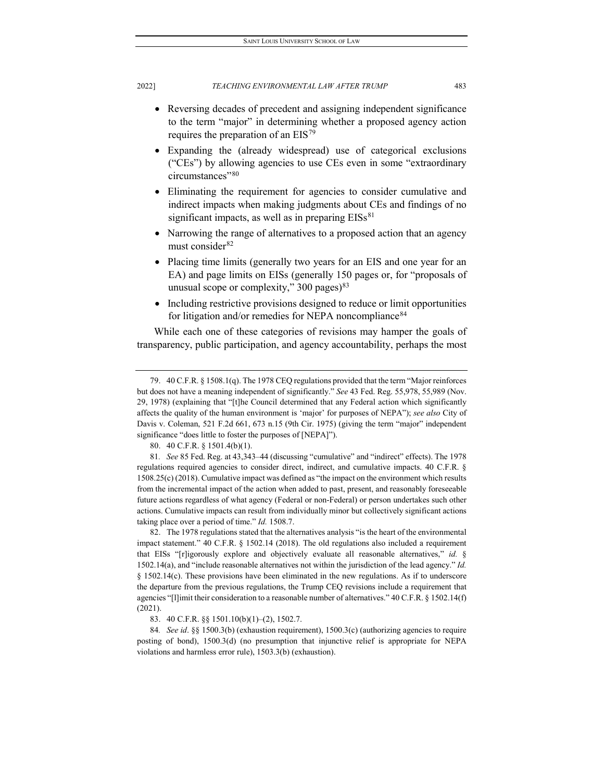- Reversing decades of precedent and assigning independent significance to the term "major" in determining whether a proposed agency action requires the preparation of an EIS[79](#page-15-0)
- Expanding the (already widespread) use of categorical exclusions ("CEs") by allowing agencies to use CEs even in some "extraordinary circumstances"<sup>[80](#page-15-1)</sup>
- Eliminating the requirement for agencies to consider cumulative and indirect impacts when making judgments about CEs and findings of no significant impacts, as well as in preparing  $EISs<sup>81</sup>$  $EISs<sup>81</sup>$  $EISs<sup>81</sup>$
- Narrowing the range of alternatives to a proposed action that an agency must consider<sup>[82](#page-15-3)</sup>
- Placing time limits (generally two years for an EIS and one year for an EA) and page limits on EISs (generally 150 pages or, for "proposals of unusual scope or complexity,"  $300 \text{ pages}$ <sup>[83](#page-15-4)</sup>
- Including restrictive provisions designed to reduce or limit opportunities for litigation and/or remedies for NEPA noncompliance<sup>[84](#page-15-5)</sup>

While each one of these categories of revisions may hamper the goals of transparency, public participation, and agency accountability, perhaps the most

80. 40 C.F.R. § 1501.4(b)(1).

<span id="page-15-2"></span><span id="page-15-1"></span>81*. See* 85 Fed. Reg. at 43,343–44 (discussing "cumulative" and "indirect" effects). The 1978 regulations required agencies to consider direct, indirect, and cumulative impacts. 40 C.F.R. § 1508.25(c) (2018). Cumulative impact was defined as "the impact on the environment which results from the incremental impact of the action when added to past, present, and reasonably foreseeable future actions regardless of what agency (Federal or non-Federal) or person undertakes such other actions. Cumulative impacts can result from individually minor but collectively significant actions taking place over a period of time." *Id.* 1508.7.

<span id="page-15-3"></span>82. The 1978 regulations stated that the alternatives analysis "is the heart of the environmental impact statement." 40 C.F.R. § 1502.14 (2018). The old regulations also included a requirement that EISs "[r]igorously explore and objectively evaluate all reasonable alternatives," *id.* § 1502.14(a), and "include reasonable alternatives not within the jurisdiction of the lead agency." *Id.* § 1502.14(c). These provisions have been eliminated in the new regulations. As if to underscore the departure from the previous regulations, the Trump CEQ revisions include a requirement that agencies "[l]imit their consideration to a reasonable number of alternatives." 40 C.F.R. § 1502.14(f) (2021).

83. 40 C.F.R. §§ 1501.10(b)(1)–(2), 1502.7.

<span id="page-15-5"></span><span id="page-15-4"></span>84*. See id*. §§ 1500.3(b) (exhaustion requirement), 1500.3(c) (authorizing agencies to require posting of bond), 1500.3(d) (no presumption that injunctive relief is appropriate for NEPA violations and harmless error rule), 1503.3(b) (exhaustion).

<span id="page-15-0"></span><sup>79.</sup> 40 C.F.R. § 1508.1(q). The 1978 CEQ regulations provided that the term "Major reinforces but does not have a meaning independent of significantly." *See* 43 Fed. Reg. 55,978, 55,989 (Nov. 29, 1978) (explaining that "[t]he Council determined that any Federal action which significantly affects the quality of the human environment is 'major' for purposes of NEPA"); *see also* City of Davis v. Coleman, 521 F.2d 661, 673 n.15 (9th Cir. 1975) (giving the term "major" independent significance "does little to foster the purposes of [NEPA]").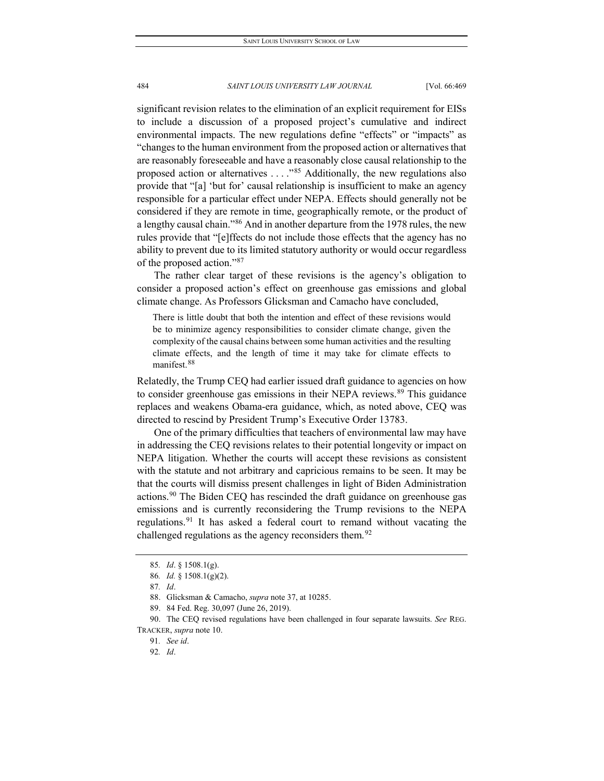significant revision relates to the elimination of an explicit requirement for EISs to include a discussion of a proposed project's cumulative and indirect environmental impacts. The new regulations define "effects" or "impacts" as "changes to the human environment from the proposed action or alternatives that are reasonably foreseeable and have a reasonably close causal relationship to the proposed action or alternatives  $\dots$ ."<sup>[85](#page-16-0)</sup> Additionally, the new regulations also provide that "[a] 'but for' causal relationship is insufficient to make an agency responsible for a particular effect under NEPA. Effects should generally not be considered if they are remote in time, geographically remote, or the product of a lengthy causal chain."[86](#page-16-1) And in another departure from the 1978 rules, the new rules provide that "[e]ffects do not include those effects that the agency has no ability to prevent due to its limited statutory authority or would occur regardless of the proposed action.["87](#page-16-2)

The rather clear target of these revisions is the agency's obligation to consider a proposed action's effect on greenhouse gas emissions and global climate change. As Professors Glicksman and Camacho have concluded,

There is little doubt that both the intention and effect of these revisions would be to minimize agency responsibilities to consider climate change, given the complexity of the causal chains between some human activities and the resulting climate effects, and the length of time it may take for climate effects to manifest.[88](#page-16-3)

Relatedly, the Trump CEQ had earlier issued draft guidance to agencies on how to consider greenhouse gas emissions in their NEPA reviews.<sup>[89](#page-16-4)</sup> This guidance replaces and weakens Obama-era guidance, which, as noted above, CEQ was directed to rescind by President Trump's Executive Order 13783.

One of the primary difficulties that teachers of environmental law may have in addressing the CEQ revisions relates to their potential longevity or impact on NEPA litigation. Whether the courts will accept these revisions as consistent with the statute and not arbitrary and capricious remains to be seen. It may be that the courts will dismiss present challenges in light of Biden Administration actions.[90](#page-16-5) The Biden CEQ has rescinded the draft guidance on greenhouse gas emissions and is currently reconsidering the Trump revisions to the NEPA regulations.<sup>[91](#page-16-6)</sup> It has asked a federal court to remand without vacating the challenged regulations as the agency reconsiders them.<sup>[92](#page-16-7)</sup>

<span id="page-16-0"></span><sup>85</sup>*. Id*. § 1508.1(g).

<sup>86</sup>*. Id.* § 1508.1(g)(2).

<sup>87</sup>*. Id*.

<sup>88.</sup> Glicksman & Camacho, *supra* note 37, at 10285.

<sup>89.</sup> 84 Fed. Reg. 30,097 (June 26, 2019).

<sup>90.</sup> The CEQ revised regulations have been challenged in four separate lawsuits. *See* REG.

<span id="page-16-7"></span><span id="page-16-6"></span><span id="page-16-5"></span><span id="page-16-4"></span><span id="page-16-3"></span><span id="page-16-2"></span><span id="page-16-1"></span>TRACKER, *supra* note 10.

<sup>91</sup>*. See id*.

<sup>92</sup>*. Id*.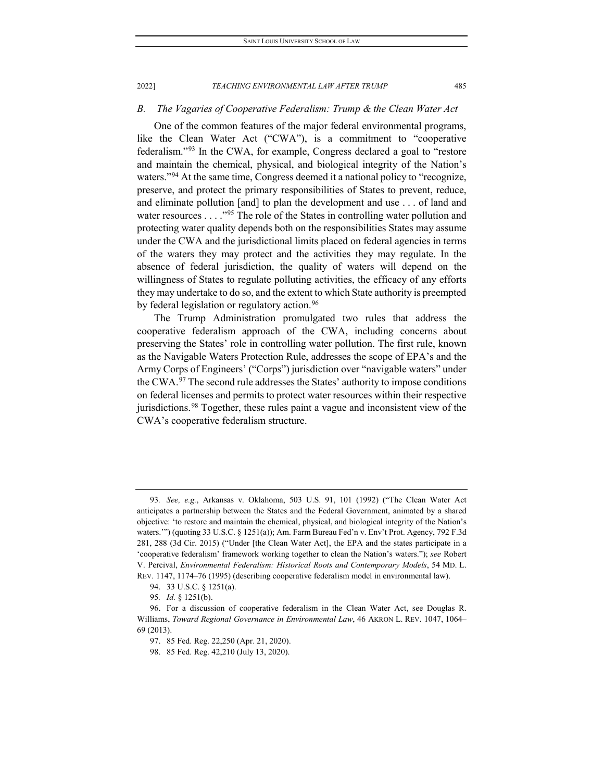# *B. The Vagaries of Cooperative Federalism: Trump & the Clean Water Act*

One of the common features of the major federal environmental programs, like the Clean Water Act ("CWA"), is a commitment to "cooperative federalism."[93](#page-17-0) In the CWA, for example, Congress declared a goal to "restore and maintain the chemical, physical, and biological integrity of the Nation's waters."<sup>[94](#page-17-1)</sup> At the same time, Congress deemed it a national policy to "recognize, preserve, and protect the primary responsibilities of States to prevent, reduce, and eliminate pollution [and] to plan the development and use . . . of land and water resources . . . . "<sup>[95](#page-17-2)</sup> The role of the States in controlling water pollution and protecting water quality depends both on the responsibilities States may assume under the CWA and the jurisdictional limits placed on federal agencies in terms of the waters they may protect and the activities they may regulate. In the absence of federal jurisdiction, the quality of waters will depend on the willingness of States to regulate polluting activities, the efficacy of any efforts they may undertake to do so, and the extent to which State authority is preempted by federal legislation or regulatory action.<sup>[96](#page-17-3)</sup>

The Trump Administration promulgated two rules that address the cooperative federalism approach of the CWA, including concerns about preserving the States' role in controlling water pollution. The first rule, known as the Navigable Waters Protection Rule, addresses the scope of EPA's and the Army Corps of Engineers' ("Corps") jurisdiction over "navigable waters" under the CWA. $97$  The second rule addresses the States' authority to impose conditions on federal licenses and permits to protect water resources within their respective jurisdictions.<sup>[98](#page-17-5)</sup> Together, these rules paint a vague and inconsistent view of the CWA's cooperative federalism structure.

<span id="page-17-0"></span><sup>93</sup>*. See, e.g.*, Arkansas v. Oklahoma, 503 U.S. 91, 101 (1992) ("The Clean Water Act anticipates a partnership between the States and the Federal Government, animated by a shared objective: 'to restore and maintain the chemical, physical, and biological integrity of the Nation's waters.'") (quoting 33 U.S.C. § 1251(a)); Am. Farm Bureau Fed'n v. Env't Prot. Agency, 792 F.3d 281, 288 (3d Cir. 2015) ("Under [the Clean Water Act], the EPA and the states participate in a 'cooperative federalism' framework working together to clean the Nation's waters."); *see* Robert V. Percival, *Environmental Federalism: Historical Roots and Contemporary Models*, 54 MD. L. REV. 1147, 1174–76 (1995) (describing cooperative federalism model in environmental law).

<sup>94.</sup> 33 U.S.C. § 1251(a).

<sup>95</sup>*. Id.* § 1251(b).

<span id="page-17-5"></span><span id="page-17-4"></span><span id="page-17-3"></span><span id="page-17-2"></span><span id="page-17-1"></span><sup>96.</sup> For a discussion of cooperative federalism in the Clean Water Act, see Douglas R. Williams, *Toward Regional Governance in Environmental Law*, 46 AKRON L. REV. 1047, 1064– 69 (2013).

<sup>97.</sup> 85 Fed. Reg. 22,250 (Apr. 21, 2020).

<sup>98.</sup> 85 Fed. Reg. 42,210 (July 13, 2020).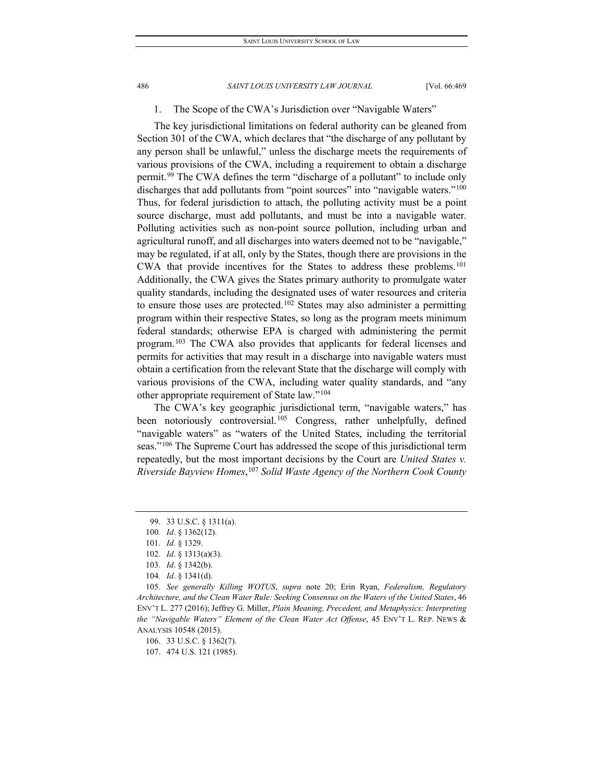### 1. The Scope of the CWA's Jurisdiction over "Navigable Waters"

The key jurisdictional limitations on federal authority can be gleaned from Section 301 of the CWA, which declares that "the discharge of any pollutant by any person shall be unlawful," unless the discharge meets the requirements of various provisions of the CWA, including a requirement to obtain a discharge permit.[99](#page-18-0) The CWA defines the term "discharge of a pollutant" to include only discharges that add pollutants from "point sources" into "navigable waters."<sup>100</sup> Thus, for federal jurisdiction to attach, the polluting activity must be a point source discharge, must add pollutants, and must be into a navigable water. Polluting activities such as non-point source pollution, including urban and agricultural runoff, and all discharges into waters deemed not to be "navigable," may be regulated, if at all, only by the States, though there are provisions in the CWA that provide incentives for the States to address these problems[.101](#page-18-2) Additionally, the CWA gives the States primary authority to promulgate water quality standards, including the designated uses of water resources and criteria to ensure those uses are protected.<sup>[102](#page-18-3)</sup> States may also administer a permitting program within their respective States, so long as the program meets minimum federal standards; otherwise EPA is charged with administering the permit program.[103](#page-18-4) The CWA also provides that applicants for federal licenses and permits for activities that may result in a discharge into navigable waters must obtain a certification from the relevant State that the discharge will comply with various provisions of the CWA, including water quality standards, and "any other appropriate requirement of State law."[104](#page-18-5)

The CWA's key geographic jurisdictional term, "navigable waters," has been notoriously controversial.<sup>[105](#page-18-6)</sup> Congress, rather unhelpfully, defined "navigable waters" as "waters of the United States, including the territorial seas."<sup>[106](#page-18-7)</sup> The Supreme Court has addressed the scope of this jurisdictional term repeatedly, but the most important decisions by the Court are *United States v. Riverside Bayview Homes*, [107](#page-18-8) *Solid Waste Agency of the Northern Cook County* 

<sup>99.</sup> 33 U.S.C. § 1311(a).

<span id="page-18-0"></span><sup>100</sup>*. Id*. § 1362(12).

<span id="page-18-1"></span><sup>101</sup>*. Id.* § 1329.

<sup>102</sup>*. Id*. § 1313(a)(3).

<sup>103</sup>*. Id*. § 1342(b).

<sup>104</sup>*. Id*. § 1341(d).

<span id="page-18-7"></span><span id="page-18-6"></span><span id="page-18-5"></span><span id="page-18-4"></span><span id="page-18-3"></span><span id="page-18-2"></span><sup>105</sup>*. See generally Killing WOTUS*, *supra* note 20; Erin Ryan, *Federalism, Regulatory Architecture, and the Clean Water Rule: Seeking Consensus on the Waters of the United States*, 46 ENV'T L. 277 (2016); Jeffrey G. Miller, *Plain Meaning, Precedent, and Metaphysics: Interpreting the "Navigable Waters" Element of the Clean Water Act Offense*, 45 ENV'T L. REP. NEWS & ANALYSIS 10548 (2015).

<sup>106.</sup> 33 U.S.C. § 1362(7).

<span id="page-18-8"></span><sup>107.</sup> 474 U.S. 121 (1985).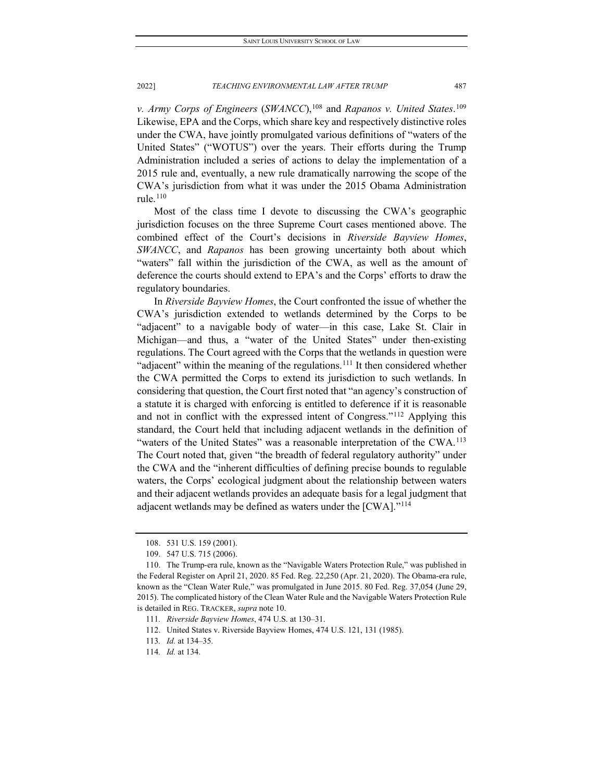*v. Army Corps of Engineers* (*SWANCC*), [108](#page-19-0) and *Rapanos v. United States*. [109](#page-19-1) Likewise, EPA and the Corps, which share key and respectively distinctive roles under the CWA, have jointly promulgated various definitions of "waters of the United States" ("WOTUS") over the years. Their efforts during the Trump Administration included a series of actions to delay the implementation of a 2015 rule and, eventually, a new rule dramatically narrowing the scope of the CWA's jurisdiction from what it was under the 2015 Obama Administration rule $110$ 

Most of the class time I devote to discussing the CWA's geographic jurisdiction focuses on the three Supreme Court cases mentioned above. The combined effect of the Court's decisions in *Riverside Bayview Homes*, *SWANCC*, and *Rapanos* has been growing uncertainty both about which "waters" fall within the jurisdiction of the CWA, as well as the amount of deference the courts should extend to EPA's and the Corps' efforts to draw the regulatory boundaries.

In *Riverside Bayview Homes*, the Court confronted the issue of whether the CWA's jurisdiction extended to wetlands determined by the Corps to be "adjacent" to a navigable body of water—in this case, Lake St. Clair in Michigan—and thus, a "water of the United States" under then-existing regulations. The Court agreed with the Corps that the wetlands in question were "adjacent" within the meaning of the regulations.<sup>[111](#page-19-3)</sup> It then considered whether the CWA permitted the Corps to extend its jurisdiction to such wetlands. In considering that question, the Court first noted that "an agency's construction of a statute it is charged with enforcing is entitled to deference if it is reasonable and not in conflict with the expressed intent of Congress."[112](#page-19-4) Applying this standard, the Court held that including adjacent wetlands in the definition of "waters of the United States" was a reasonable interpretation of the CWA.<sup>[113](#page-19-5)</sup> The Court noted that, given "the breadth of federal regulatory authority" under the CWA and the "inherent difficulties of defining precise bounds to regulable waters, the Corps' ecological judgment about the relationship between waters and their adjacent wetlands provides an adequate basis for a legal judgment that adjacent wetlands may be defined as waters under the [CWA]."[114](#page-19-6)

<sup>108.</sup> 531 U.S. 159 (2001).

<sup>109.</sup> 547 U.S. 715 (2006).

<span id="page-19-2"></span><span id="page-19-1"></span><span id="page-19-0"></span><sup>110.</sup> The Trump-era rule, known as the "Navigable Waters Protection Rule," was published in the Federal Register on April 21, 2020. 85 Fed. Reg. 22,250 (Apr. 21, 2020). The Obama-era rule, known as the "Clean Water Rule," was promulgated in June 2015. 80 Fed. Reg. 37,054 (June 29, 2015). The complicated history of the Clean Water Rule and the Navigable Waters Protection Rule is detailed in REG. TRACKER, *supra* note 10.

<sup>111</sup>*. Riverside Bayview Homes*, 474 U.S. at 130–31.

<span id="page-19-4"></span><span id="page-19-3"></span><sup>112.</sup> United States v. Riverside Bayview Homes, 474 U.S. 121, 131 (1985).

<span id="page-19-5"></span><sup>113</sup>*. Id.* at 134–35.

<span id="page-19-6"></span><sup>114</sup>*. Id.* at 134.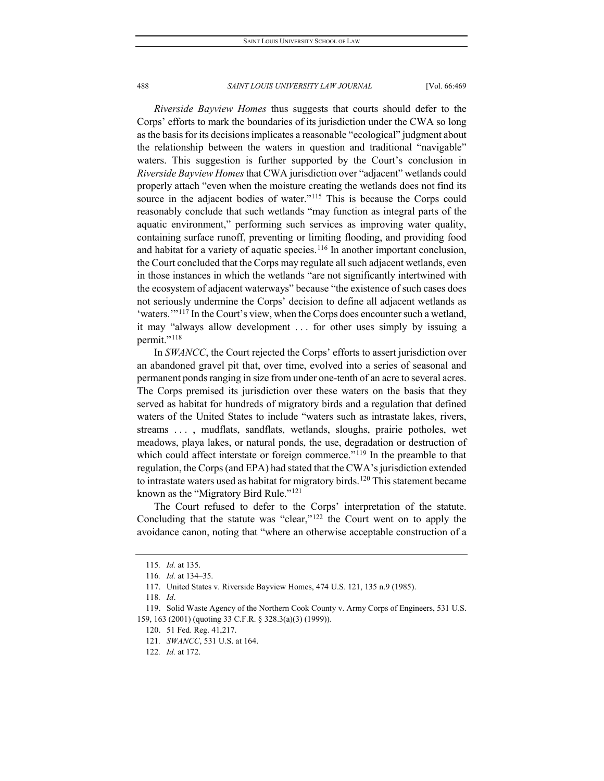*Riverside Bayview Homes* thus suggests that courts should defer to the Corps' efforts to mark the boundaries of its jurisdiction under the CWA so long as the basis for its decisions implicates a reasonable "ecological" judgment about the relationship between the waters in question and traditional "navigable" waters. This suggestion is further supported by the Court's conclusion in *Riverside Bayview Homes*that CWA jurisdiction over "adjacent" wetlands could properly attach "even when the moisture creating the wetlands does not find its source in the adjacent bodies of water."<sup>[115](#page-20-0)</sup> This is because the Corps could reasonably conclude that such wetlands "may function as integral parts of the aquatic environment," performing such services as improving water quality, containing surface runoff, preventing or limiting flooding, and providing food and habitat for a variety of aquatic species.<sup>[116](#page-20-1)</sup> In another important conclusion, the Court concluded that the Corps may regulate all such adjacent wetlands, even in those instances in which the wetlands "are not significantly intertwined with the ecosystem of adjacent waterways" because "the existence of such cases does not seriously undermine the Corps' decision to define all adjacent wetlands as 'waters."<sup>[117](#page-20-2)</sup> In the Court's view, when the Corps does encounter such a wetland, it may "always allow development . . . for other uses simply by issuing a permit."<sup>[118](#page-20-3)</sup>

In *SWANCC*, the Court rejected the Corps' efforts to assert jurisdiction over an abandoned gravel pit that, over time, evolved into a series of seasonal and permanent ponds ranging in size from under one-tenth of an acre to several acres. The Corps premised its jurisdiction over these waters on the basis that they served as habitat for hundreds of migratory birds and a regulation that defined waters of the United States to include "waters such as intrastate lakes, rivers, streams . . . , mudflats, sandflats, wetlands, sloughs, prairie potholes, wet meadows, playa lakes, or natural ponds, the use, degradation or destruction of which could affect interstate or foreign commerce."<sup>[119](#page-20-4)</sup> In the preamble to that regulation, the Corps (and EPA) had stated that the CWA's jurisdiction extended to intrastate waters used as habitat for migratory birds.<sup>[120](#page-20-5)</sup> This statement became known as the "Migratory Bird Rule."[121](#page-20-6)

The Court refused to defer to the Corps' interpretation of the statute. Concluding that the statute was "clear,"[122](#page-20-7) the Court went on to apply the avoidance canon, noting that "where an otherwise acceptable construction of a

<sup>115</sup>*. Id.* at 135.

<sup>116</sup>*. Id.* at 134–35.

<sup>117.</sup> United States v. Riverside Bayview Homes, 474 U.S. 121, 135 n.9 (1985).

<sup>118</sup>*. Id*.

<span id="page-20-7"></span><span id="page-20-6"></span><span id="page-20-5"></span><span id="page-20-4"></span><span id="page-20-3"></span><span id="page-20-2"></span><span id="page-20-1"></span><span id="page-20-0"></span><sup>119.</sup> Solid Waste Agency of the Northern Cook County v. Army Corps of Engineers, 531 U.S. 159, 163 (2001) (quoting 33 C.F.R. § 328.3(a)(3) (1999)).

<sup>120.</sup> 51 Fed. Reg. 41,217.

<sup>121</sup>*. SWANCC*, 531 U.S. at 164.

<sup>122</sup>*. Id.* at 172.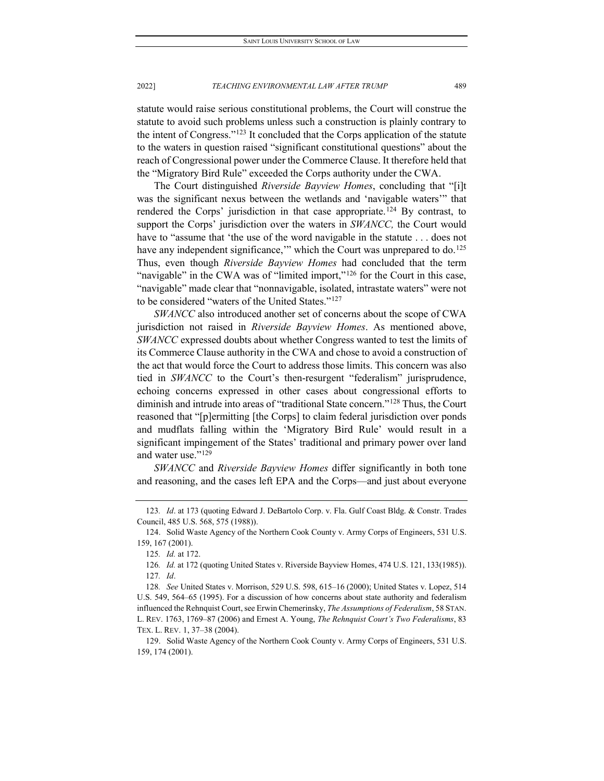statute would raise serious constitutional problems, the Court will construe the statute to avoid such problems unless such a construction is plainly contrary to the intent of Congress.["123](#page-21-0) It concluded that the Corps application of the statute to the waters in question raised "significant constitutional questions" about the reach of Congressional power under the Commerce Clause. It therefore held that the "Migratory Bird Rule" exceeded the Corps authority under the CWA.

The Court distinguished *Riverside Bayview Homes*, concluding that "[i]t was the significant nexus between the wetlands and 'navigable waters'" that rendered the Corps' jurisdiction in that case appropriate.<sup>[124](#page-21-1)</sup> By contrast, to support the Corps' jurisdiction over the waters in *SWANCC,* the Court would have to "assume that 'the use of the word navigable in the statute . . . does not have any independent significance," which the Court was unprepared to do.<sup>125</sup> Thus, even though *Riverside Bayview Homes* had concluded that the term "navigable" in the CWA was of "limited import,"<sup>[126](#page-21-3)</sup> for the Court in this case, "navigable" made clear that "nonnavigable, isolated, intrastate waters" were not to be considered "waters of the United States."[127](#page-21-4)

*SWANCC* also introduced another set of concerns about the scope of CWA jurisdiction not raised in *Riverside Bayview Homes*. As mentioned above, *SWANCC* expressed doubts about whether Congress wanted to test the limits of its Commerce Clause authority in the CWA and chose to avoid a construction of the act that would force the Court to address those limits. This concern was also tied in *SWANCC* to the Court's then-resurgent "federalism" jurisprudence, echoing concerns expressed in other cases about congressional efforts to diminish and intrude into areas of "traditional State concern."[128](#page-21-5) Thus, the Court reasoned that "[p]ermitting [the Corps] to claim federal jurisdiction over ponds and mudflats falling within the 'Migratory Bird Rule' would result in a significant impingement of the States' traditional and primary power over land and water use.["129](#page-21-6)

*SWANCC* and *Riverside Bayview Homes* differ significantly in both tone and reasoning, and the cases left EPA and the Corps—and just about everyone

<span id="page-21-0"></span><sup>123</sup>*. Id*. at 173 (quoting Edward J. DeBartolo Corp. v. Fla. Gulf Coast Bldg. & Constr. Trades Council, 485 U.S. 568, 575 (1988)).

<span id="page-21-2"></span><span id="page-21-1"></span><sup>124.</sup> Solid Waste Agency of the Northern Cook County v. Army Corps of Engineers, 531 U.S. 159, 167 (2001).

<sup>125</sup>*. Id.* at 172.

<sup>126</sup>*. Id.* at 172 (quoting United States v. Riverside Bayview Homes, 474 U.S. 121, 133(1985)). 127*. Id*.

<span id="page-21-5"></span><span id="page-21-4"></span><span id="page-21-3"></span><sup>128</sup>*. See* United States v. Morrison, 529 U.S. 598, 615–16 (2000); United States v. Lopez, 514 U.S. 549, 564–65 (1995). For a discussion of how concerns about state authority and federalism influenced the Rehnquist Court, see Erwin Chemerinsky, *The Assumptions of Federalism*, 58 STAN. L. REV. 1763, 1769–87 (2006) and Ernest A. Young, *The Rehnquist Court's Two Federalisms*, 83 TEX. L. REV. 1, 37–38 (2004).

<span id="page-21-6"></span><sup>129.</sup> Solid Waste Agency of the Northern Cook County v. Army Corps of Engineers, 531 U.S. 159, 174 (2001).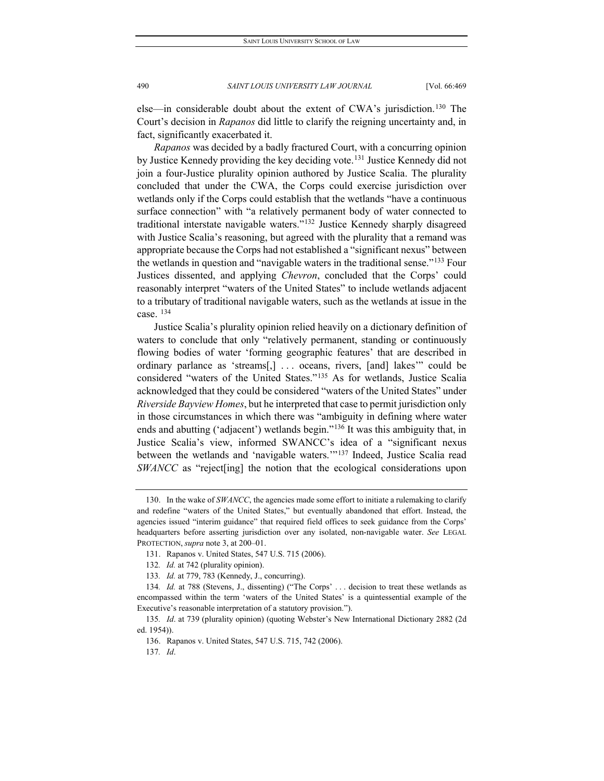else—in considerable doubt about the extent of CWA's jurisdiction[.130](#page-22-0) The Court's decision in *Rapanos* did little to clarify the reigning uncertainty and, in fact, significantly exacerbated it.

*Rapanos* was decided by a badly fractured Court, with a concurring opinion by Justice Kennedy providing the key deciding vote.<sup>[131](#page-22-1)</sup> Justice Kennedy did not join a four-Justice plurality opinion authored by Justice Scalia. The plurality concluded that under the CWA, the Corps could exercise jurisdiction over wetlands only if the Corps could establish that the wetlands "have a continuous surface connection" with "a relatively permanent body of water connected to traditional interstate navigable waters."[132](#page-22-2) Justice Kennedy sharply disagreed with Justice Scalia's reasoning, but agreed with the plurality that a remand was appropriate because the Corps had not established a "significant nexus" between the wetlands in question and "navigable waters in the traditional sense."[133](#page-22-3) Four Justices dissented, and applying *Chevron*, concluded that the Corps' could reasonably interpret "waters of the United States" to include wetlands adjacent to a tributary of traditional navigable waters, such as the wetlands at issue in the case. [134](#page-22-4)

Justice Scalia's plurality opinion relied heavily on a dictionary definition of waters to conclude that only "relatively permanent, standing or continuously flowing bodies of water 'forming geographic features' that are described in ordinary parlance as 'streams[,] . . . oceans, rivers, [and] lakes'" could be considered "waters of the United States."[135](#page-22-5) As for wetlands, Justice Scalia acknowledged that they could be considered "waters of the United States" under *Riverside Bayview Homes*, but he interpreted that case to permit jurisdiction only in those circumstances in which there was "ambiguity in defining where water ends and abutting ('adjacent') wetlands begin."<sup>[136](#page-22-6)</sup> It was this ambiguity that, in Justice Scalia's view, informed SWANCC's idea of a "significant nexus between the wetlands and 'navigable waters.'"[137](#page-22-7) Indeed, Justice Scalia read *SWANCC* as "reject [ing] the notion that the ecological considerations upon

<span id="page-22-0"></span><sup>130.</sup> In the wake of *SWANCC*, the agencies made some effort to initiate a rulemaking to clarify and redefine "waters of the United States," but eventually abandoned that effort. Instead, the agencies issued "interim guidance" that required field offices to seek guidance from the Corps' headquarters before asserting jurisdiction over any isolated, non-navigable water. *See* LEGAL PROTECTION, *supra* note 3, at 200–01.

<sup>131.</sup> Rapanos v. United States, 547 U.S. 715 (2006).

<sup>132</sup>*. Id.* at 742 (plurality opinion).

<sup>133</sup>*. Id.* at 779, 783 (Kennedy, J., concurring).

<span id="page-22-4"></span><span id="page-22-3"></span><span id="page-22-2"></span><span id="page-22-1"></span><sup>134</sup>*. Id.* at 788 (Stevens, J., dissenting) ("The Corps' . . . decision to treat these wetlands as encompassed within the term 'waters of the United States' is a quintessential example of the Executive's reasonable interpretation of a statutory provision.").

<span id="page-22-7"></span><span id="page-22-6"></span><span id="page-22-5"></span><sup>135</sup>*. Id*. at 739 (plurality opinion) (quoting Webster's New International Dictionary 2882 (2d ed. 1954)).

<sup>136.</sup> Rapanos v. United States, 547 U.S. 715, 742 (2006).

<sup>137</sup>*. Id*.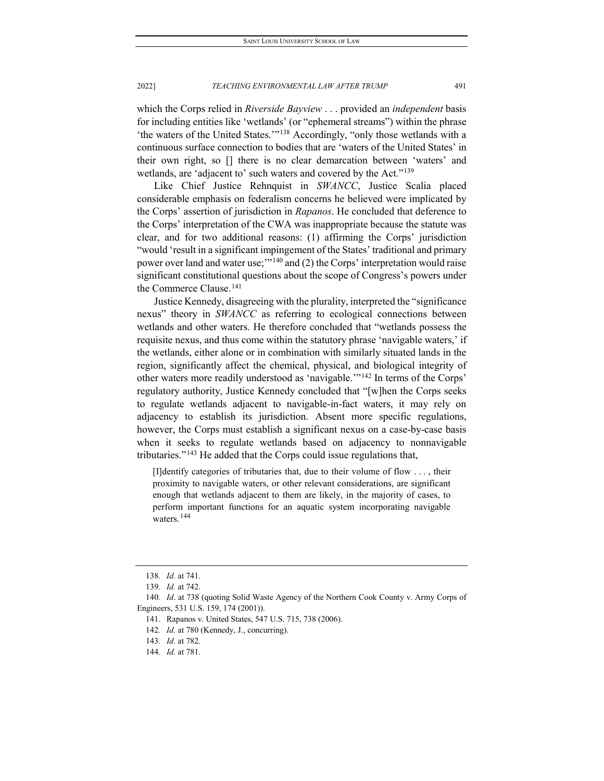which the Corps relied in *Riverside Bayview* . . . provided an *independent* basis for including entities like 'wetlands' (or "ephemeral streams") within the phrase 'the waters of the United States.'"[138](#page-23-0) Accordingly, "only those wetlands with a continuous surface connection to bodies that are 'waters of the United States' in their own right, so [] there is no clear demarcation between 'waters' and wetlands, are 'adjacent to' such waters and covered by the Act.["139](#page-23-1)

Like Chief Justice Rehnquist in *SWANCC*, Justice Scalia placed considerable emphasis on federalism concerns he believed were implicated by the Corps' assertion of jurisdiction in *Rapanos*. He concluded that deference to the Corps' interpretation of the CWA was inappropriate because the statute was clear, and for two additional reasons: (1) affirming the Corps' jurisdiction "would 'result in a significant impingement of the States' traditional and primary power over land and water use;'"[140](#page-23-2) and (2) the Corps' interpretation would raise significant constitutional questions about the scope of Congress's powers under the Commerce Clause.[141](#page-23-3)

Justice Kennedy, disagreeing with the plurality, interpreted the "significance nexus" theory in *SWANCC* as referring to ecological connections between wetlands and other waters. He therefore concluded that "wetlands possess the requisite nexus, and thus come within the statutory phrase 'navigable waters,' if the wetlands, either alone or in combination with similarly situated lands in the region, significantly affect the chemical, physical, and biological integrity of other waters more readily understood as 'navigable.'"[142](#page-23-4) In terms of the Corps' regulatory authority, Justice Kennedy concluded that "[w]hen the Corps seeks to regulate wetlands adjacent to navigable-in-fact waters, it may rely on adjacency to establish its jurisdiction. Absent more specific regulations, however, the Corps must establish a significant nexus on a case-by-case basis when it seeks to regulate wetlands based on adjacency to nonnavigable tributaries."[143](#page-23-5) He added that the Corps could issue regulations that,

[I]dentify categories of tributaries that, due to their volume of flow . . . , their proximity to navigable waters, or other relevant considerations, are significant enough that wetlands adjacent to them are likely, in the majority of cases, to perform important functions for an aquatic system incorporating navigable waters.<sup>[144](#page-23-6)</sup>

<sup>138</sup>*. Id.* at 741.

<sup>139</sup>*. Id.* at 742.

<span id="page-23-5"></span><span id="page-23-4"></span><span id="page-23-3"></span><span id="page-23-2"></span><span id="page-23-1"></span><span id="page-23-0"></span><sup>140</sup>*. Id*. at 738 (quoting Solid Waste Agency of the Northern Cook County v. Army Corps of Engineers, 531 U.S. 159, 174 (2001)).

<sup>141.</sup> Rapanos v. United States, 547 U.S. 715, 738 (2006).

<sup>142</sup>*. Id.* at 780 (Kennedy, J., concurring).

<sup>143</sup>*. Id.* at 782.

<span id="page-23-6"></span><sup>144</sup>*. Id.* at 781.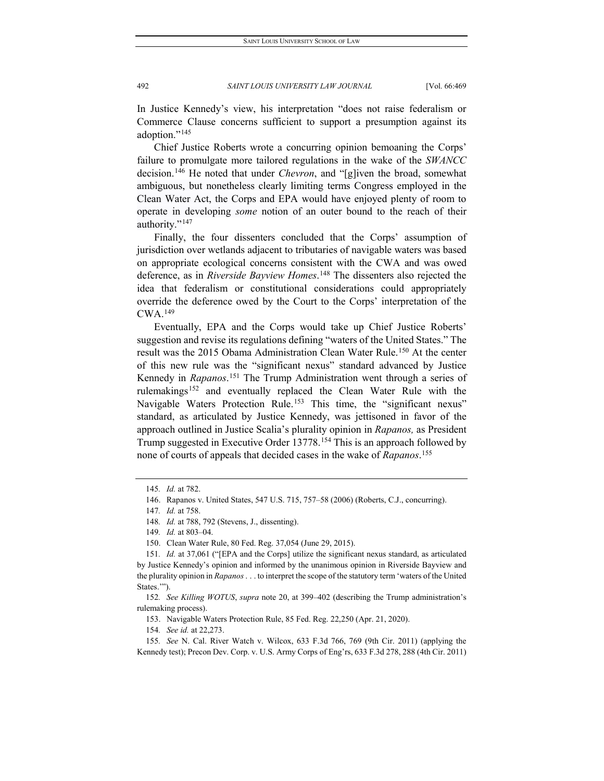In Justice Kennedy's view, his interpretation "does not raise federalism or Commerce Clause concerns sufficient to support a presumption against its adoption.["145](#page-24-0)

Chief Justice Roberts wrote a concurring opinion bemoaning the Corps' failure to promulgate more tailored regulations in the wake of the *SWANCC*  decision.[146](#page-24-1) He noted that under *Chevron*, and "[g]iven the broad, somewhat ambiguous, but nonetheless clearly limiting terms Congress employed in the Clean Water Act, the Corps and EPA would have enjoyed plenty of room to operate in developing *some* notion of an outer bound to the reach of their authority."<sup>[147](#page-24-2)</sup>

Finally, the four dissenters concluded that the Corps' assumption of jurisdiction over wetlands adjacent to tributaries of navigable waters was based on appropriate ecological concerns consistent with the CWA and was owed deference, as in *Riverside Bayview Homes*. [148](#page-24-3) The dissenters also rejected the idea that federalism or constitutional considerations could appropriately override the deference owed by the Court to the Corps' interpretation of the CWA.[149](#page-24-4)

Eventually, EPA and the Corps would take up Chief Justice Roberts' suggestion and revise its regulations defining "waters of the United States." The result was the 2015 Obama Administration Clean Water Rule.<sup>[150](#page-24-5)</sup> At the center of this new rule was the "significant nexus" standard advanced by Justice Kennedy in *Rapanos*. [151](#page-24-6) The Trump Administration went through a series of rulemakings<sup>[152](#page-24-7)</sup> and eventually replaced the Clean Water Rule with the Navigable Waters Protection Rule.<sup>[153](#page-24-8)</sup> This time, the "significant nexus" standard, as articulated by Justice Kennedy, was jettisoned in favor of the approach outlined in Justice Scalia's plurality opinion in *Rapanos,* as President Trump suggested in Executive Order 13778[.154](#page-24-9) This is an approach followed by none of courts of appeals that decided cases in the wake of *Rapanos*. [155](#page-24-10)

153. Navigable Waters Protection Rule, 85 Fed. Reg. 22,250 (Apr. 21, 2020).

154*. See id.* at 22,273.

<sup>145</sup>*. Id.* at 782.

<span id="page-24-1"></span><span id="page-24-0"></span><sup>146.</sup> Rapanos v. United States, 547 U.S. 715, 757–58 (2006) (Roberts, C.J., concurring).

<sup>147</sup>*. Id.* at 758.

<sup>148</sup>*. Id.* at 788, 792 (Stevens, J., dissenting).

<sup>149</sup>*. Id.* at 803–04.

<sup>150.</sup> Clean Water Rule, 80 Fed. Reg. 37,054 (June 29, 2015).

<span id="page-24-6"></span><span id="page-24-5"></span><span id="page-24-4"></span><span id="page-24-3"></span><span id="page-24-2"></span><sup>151</sup>*. Id.* at 37,061 ("[EPA and the Corps] utilize the significant nexus standard, as articulated by Justice Kennedy's opinion and informed by the unanimous opinion in Riverside Bayview and the plurality opinion in *Rapanos*. . . to interpret the scope of the statutory term 'waters of the United States."").

<span id="page-24-8"></span><span id="page-24-7"></span><sup>152</sup>*. See Killing WOTUS*, *supra* note 20, at 399–402 (describing the Trump administration's rulemaking process).

<span id="page-24-10"></span><span id="page-24-9"></span><sup>155</sup>*. See* N. Cal. River Watch v. Wilcox, 633 F.3d 766, 769 (9th Cir. 2011) (applying the Kennedy test); Precon Dev. Corp. v. U.S. Army Corps of Eng'rs, 633 F.3d 278, 288 (4th Cir. 2011)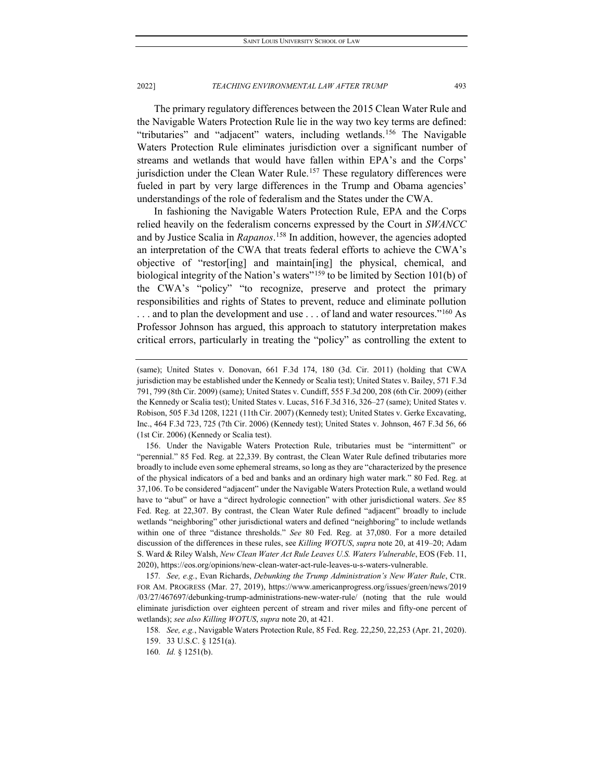The primary regulatory differences between the 2015 Clean Water Rule and the Navigable Waters Protection Rule lie in the way two key terms are defined: "tributaries" and "adjacent" waters, including wetlands.[156](#page-25-0) The Navigable Waters Protection Rule eliminates jurisdiction over a significant number of streams and wetlands that would have fallen within EPA's and the Corps' jurisdiction under the Clean Water Rule.<sup>[157](#page-25-1)</sup> These regulatory differences were fueled in part by very large differences in the Trump and Obama agencies' understandings of the role of federalism and the States under the CWA.

In fashioning the Navigable Waters Protection Rule, EPA and the Corps relied heavily on the federalism concerns expressed by the Court in *SWANCC*  and by Justice Scalia in *Rapanos*. [158](#page-25-2) In addition, however, the agencies adopted an interpretation of the CWA that treats federal efforts to achieve the CWA's objective of "restor[ing] and maintain[ing] the physical, chemical, and biological integrity of the Nation's waters"<sup>[159](#page-25-3)</sup> to be limited by Section 101(b) of the CWA's "policy" "to recognize, preserve and protect the primary responsibilities and rights of States to prevent, reduce and eliminate pollution ... and to plan the development and use ... of land and water resources."<sup>[160](#page-25-4)</sup> As Professor Johnson has argued, this approach to statutory interpretation makes critical errors, particularly in treating the "policy" as controlling the extent to

<sup>(</sup>same); United States v. Donovan, 661 F.3d 174, 180 (3d. Cir. 2011) (holding that CWA jurisdiction may be established under the Kennedy or Scalia test); United States v. Bailey, 571 F.3d 791, 799 (8th Cir. 2009) (same); United States v. Cundiff, 555 F.3d 200, 208 (6th Cir. 2009) (either the Kennedy or Scalia test); United States v. Lucas, 516 F.3d 316, 326–27 (same); United States v. Robison, 505 F.3d 1208, 1221 (11th Cir. 2007) (Kennedy test); United States v. Gerke Excavating, Inc., 464 F.3d 723, 725 (7th Cir. 2006) (Kennedy test); United States v. Johnson, 467 F.3d 56, 66 (1st Cir. 2006) (Kennedy or Scalia test).

<span id="page-25-0"></span><sup>156.</sup> Under the Navigable Waters Protection Rule, tributaries must be "intermittent" or "perennial." 85 Fed. Reg. at 22,339. By contrast, the Clean Water Rule defined tributaries more broadly to include even some ephemeral streams, so long as they are "characterized by the presence of the physical indicators of a bed and banks and an ordinary high water mark." 80 Fed. Reg. at 37,106. To be considered "adjacent" under the Navigable Waters Protection Rule, a wetland would have to "abut" or have a "direct hydrologic connection" with other jurisdictional waters. *See* 85 Fed. Reg. at 22,307. By contrast, the Clean Water Rule defined "adjacent" broadly to include wetlands "neighboring" other jurisdictional waters and defined "neighboring" to include wetlands within one of three "distance thresholds." *See* 80 Fed. Reg. at 37,080. For a more detailed discussion of the differences in these rules, see *Killing WOTUS*, *supra* note 20, at 419–20; Adam S. Ward & Riley Walsh, *New Clean Water Act Rule Leaves U.S. Waters Vulnerable*, EOS (Feb. 11, 2020), https://eos.org/opinions/new-clean-water-act-rule-leaves-u-s-waters-vulnerable.

<span id="page-25-1"></span><sup>157</sup>*. See, e.g.*, Evan Richards, *Debunking the Trump Administration's New Water Rule*, CTR. FOR AM. PROGRESS (Mar. 27, 2019), https://www.americanprogress.org/issues/green/news/2019 /03/27/467697/debunking-trump-administrations-new-water-rule/ (noting that the rule would eliminate jurisdiction over eighteen percent of stream and river miles and fifty-one percent of wetlands); *see also Killing WOTUS*, *supra* note 20, at 421.

<sup>158</sup>*. See, e.g.*, Navigable Waters Protection Rule, 85 Fed. Reg. 22,250, 22,253 (Apr. 21, 2020).

<span id="page-25-3"></span><span id="page-25-2"></span><sup>159.</sup> 33 U.S.C. § 1251(a).

<span id="page-25-4"></span><sup>160</sup>*. Id.* § 1251(b).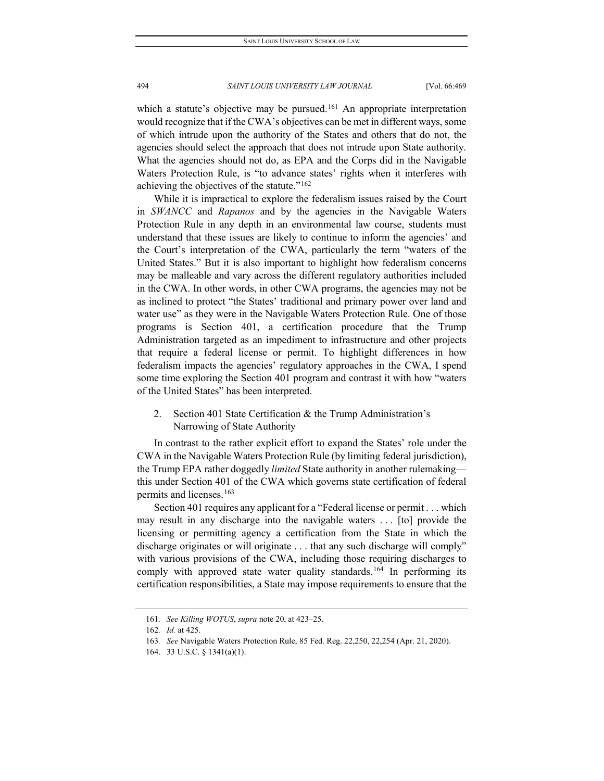which a statute's objective may be pursued.<sup>[161](#page-26-0)</sup> An appropriate interpretation would recognize that if the CWA's objectives can be met in different ways, some of which intrude upon the authority of the States and others that do not, the agencies should select the approach that does not intrude upon State authority. What the agencies should not do, as EPA and the Corps did in the Navigable Waters Protection Rule, is "to advance states' rights when it interferes with achieving the objectives of the statute."[162](#page-26-1)

While it is impractical to explore the federalism issues raised by the Court in *SWANCC* and *Rapanos* and by the agencies in the Navigable Waters Protection Rule in any depth in an environmental law course, students must understand that these issues are likely to continue to inform the agencies' and the Court's interpretation of the CWA, particularly the term "waters of the United States." But it is also important to highlight how federalism concerns may be malleable and vary across the different regulatory authorities included in the CWA. In other words, in other CWA programs, the agencies may not be as inclined to protect "the States' traditional and primary power over land and water use" as they were in the Navigable Waters Protection Rule. One of those programs is Section 401, a certification procedure that the Trump Administration targeted as an impediment to infrastructure and other projects that require a federal license or permit. To highlight differences in how federalism impacts the agencies' regulatory approaches in the CWA, I spend some time exploring the Section 401 program and contrast it with how "waters of the United States" has been interpreted.

2. Section 401 State Certification & the Trump Administration's Narrowing of State Authority

In contrast to the rather explicit effort to expand the States' role under the CWA in the Navigable Waters Protection Rule (by limiting federal jurisdiction), the Trump EPA rather doggedly *limited* State authority in another rulemaking this under Section 401 of the CWA which governs state certification of federal permits and licenses.<sup>[163](#page-26-2)</sup>

Section 401 requires any applicant for a "Federal license or permit . . . which may result in any discharge into the navigable waters . . . [to] provide the licensing or permitting agency a certification from the State in which the discharge originates or will originate ... that any such discharge will comply" with various provisions of the CWA, including those requiring discharges to comply with approved state water quality standards.<sup>[164](#page-26-3)</sup> In performing its certification responsibilities, a State may impose requirements to ensure that the

<sup>161</sup>*. See Killing WOTUS*, *supra* note 20, at 423–25.

<span id="page-26-1"></span><span id="page-26-0"></span><sup>162</sup>*. Id.* at 425.

<span id="page-26-3"></span><span id="page-26-2"></span><sup>163</sup>*. See* Navigable Waters Protection Rule, 85 Fed. Reg. 22,250, 22,254 (Apr. 21, 2020).

<sup>164.</sup> 33 U.S.C. § 1341(a)(1).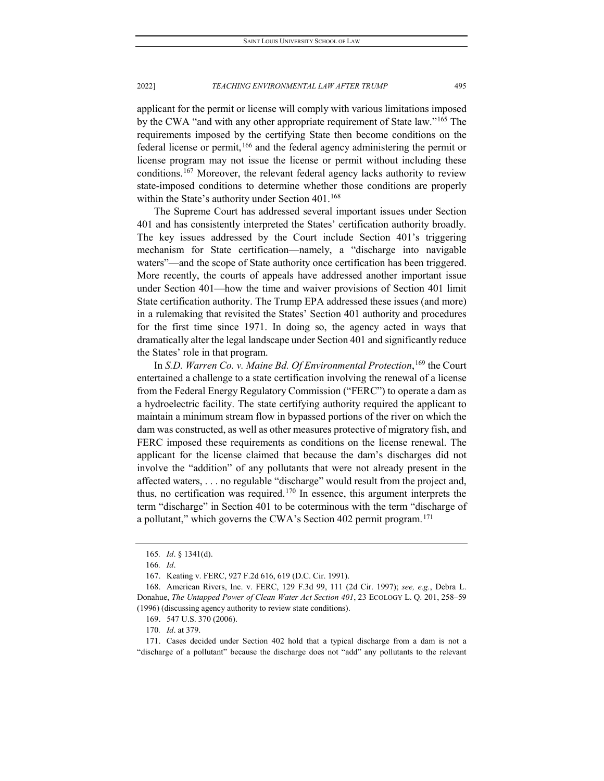applicant for the permit or license will comply with various limitations imposed by the CWA "and with any other appropriate requirement of State law."<sup>[165](#page-27-0)</sup> The requirements imposed by the certifying State then become conditions on the federal license or permit,[166](#page-27-1) and the federal agency administering the permit or license program may not issue the license or permit without including these conditions.[167](#page-27-2) Moreover, the relevant federal agency lacks authority to review state-imposed conditions to determine whether those conditions are properly within the State's authority under Section  $401.^{168}$  $401.^{168}$  $401.^{168}$ 

The Supreme Court has addressed several important issues under Section 401 and has consistently interpreted the States' certification authority broadly. The key issues addressed by the Court include Section 401's triggering mechanism for State certification—namely, a "discharge into navigable waters"—and the scope of State authority once certification has been triggered. More recently, the courts of appeals have addressed another important issue under Section 401—how the time and waiver provisions of Section 401 limit State certification authority. The Trump EPA addressed these issues (and more) in a rulemaking that revisited the States' Section 401 authority and procedures for the first time since 1971. In doing so, the agency acted in ways that dramatically alter the legal landscape under Section 401 and significantly reduce the States' role in that program.

In *S.D. Warren Co. v. Maine Bd. Of Environmental Protection*, [169](#page-27-4) the Court entertained a challenge to a state certification involving the renewal of a license from the Federal Energy Regulatory Commission ("FERC") to operate a dam as a hydroelectric facility. The state certifying authority required the applicant to maintain a minimum stream flow in bypassed portions of the river on which the dam was constructed, as well as other measures protective of migratory fish, and FERC imposed these requirements as conditions on the license renewal. The applicant for the license claimed that because the dam's discharges did not involve the "addition" of any pollutants that were not already present in the affected waters, . . . no regulable "discharge" would result from the project and, thus, no certification was required.<sup>[170](#page-27-5)</sup> In essence, this argument interprets the term "discharge" in Section 401 to be coterminous with the term "discharge of a pollutant," which governs the CWA's Section 402 permit program.<sup>[171](#page-27-6)</sup>

<sup>165</sup>*. Id*. § 1341(d).

<sup>166</sup>*. Id*.

<sup>167.</sup> Keating v. FERC, 927 F.2d 616, 619 (D.C. Cir. 1991).

<span id="page-27-3"></span><span id="page-27-2"></span><span id="page-27-1"></span><span id="page-27-0"></span><sup>168.</sup> American Rivers, Inc. v. FERC, 129 F.3d 99, 111 (2d Cir. 1997); *see, e.g.*, Debra L. Donahue, *The Untapped Power of Clean Water Act Section 401*, 23 ECOLOGY L. Q. 201, 258–59 (1996) (discussing agency authority to review state conditions).

<sup>169.</sup> 547 U.S. 370 (2006).

<sup>170</sup>*. Id*. at 379.

<span id="page-27-6"></span><span id="page-27-5"></span><span id="page-27-4"></span><sup>171.</sup> Cases decided under Section 402 hold that a typical discharge from a dam is not a "discharge of a pollutant" because the discharge does not "add" any pollutants to the relevant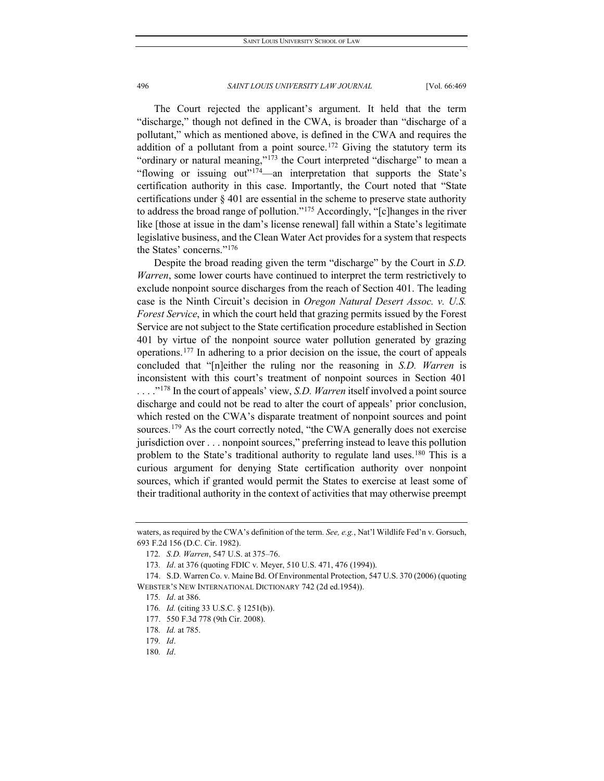The Court rejected the applicant's argument. It held that the term "discharge," though not defined in the CWA, is broader than "discharge of a pollutant," which as mentioned above, is defined in the CWA and requires the addition of a pollutant from a point source.<sup>[172](#page-28-0)</sup> Giving the statutory term its "ordinary or natural meaning,"<sup>[173](#page-28-1)</sup> the Court interpreted "discharge" to mean a "flowing or issuing out"[174](#page-28-2)—an interpretation that supports the State's certification authority in this case. Importantly, the Court noted that "State certifications under § 401 are essential in the scheme to preserve state authority to address the broad range of pollution."[175](#page-28-3) Accordingly, "[c]hanges in the river like [those at issue in the dam's license renewal] fall within a State's legitimate legislative business, and the Clean Water Act provides for a system that respects the States' concerns."[176](#page-28-4)

Despite the broad reading given the term "discharge" by the Court in *S.D. Warren*, some lower courts have continued to interpret the term restrictively to exclude nonpoint source discharges from the reach of Section 401. The leading case is the Ninth Circuit's decision in *Oregon Natural Desert Assoc. v. U.S. Forest Service*, in which the court held that grazing permits issued by the Forest Service are not subject to the State certification procedure established in Section 401 by virtue of the nonpoint source water pollution generated by grazing operations.[177](#page-28-5) In adhering to a prior decision on the issue, the court of appeals concluded that "[n]either the ruling nor the reasoning in *S.D. Warren* is inconsistent with this court's treatment of nonpoint sources in Section 401 ...."<sup>178</sup> In the court of appeals' view, *S.D. Warren* itself involved a point source discharge and could not be read to alter the court of appeals' prior conclusion, which rested on the CWA's disparate treatment of nonpoint sources and point sources.<sup>[179](#page-28-7)</sup> As the court correctly noted, "the CWA generally does not exercise jurisdiction over . . . nonpoint sources," preferring instead to leave this pollution problem to the State's traditional authority to regulate land uses.<sup>[180](#page-28-8)</sup> This is a curious argument for denying State certification authority over nonpoint sources, which if granted would permit the States to exercise at least some of their traditional authority in the context of activities that may otherwise preempt

180*. Id*.

<span id="page-28-0"></span>waters, as required by the CWA's definition of the term. *See, e.g.*, Nat'l Wildlife Fed'n v. Gorsuch, 693 F.2d 156 (D.C. Cir. 1982).

<sup>172</sup>*. S.D. Warren*, 547 U.S. at 375–76.

<sup>173</sup>*. Id*. at 376 (quoting FDIC v. Meyer, 510 U.S. 471, 476 (1994)).

<span id="page-28-5"></span><span id="page-28-4"></span><span id="page-28-3"></span><span id="page-28-2"></span><span id="page-28-1"></span><sup>174.</sup> S.D. Warren Co. v. Maine Bd. Of Environmental Protection, 547 U.S. 370 (2006) (quoting WEBSTER'S NEW INTERNATIONAL DICTIONARY 742 (2d ed.1954)).

<sup>175</sup>*. Id*. at 386.

<sup>176</sup>*. Id.* (citing 33 U.S.C. § 1251(b)).

<sup>177.</sup> 550 F.3d 778 (9th Cir. 2008).

<span id="page-28-6"></span><sup>178</sup>*. Id.* at 785.

<span id="page-28-8"></span><span id="page-28-7"></span><sup>179</sup>*. Id*.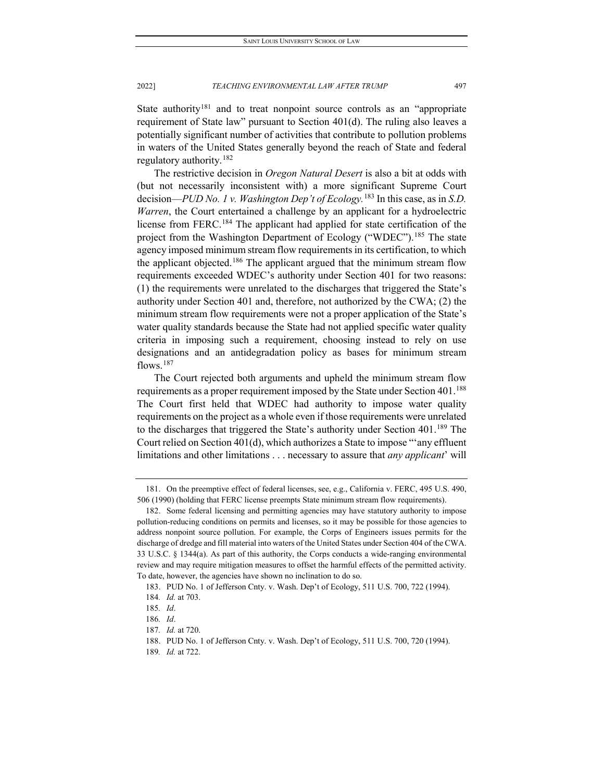State authority<sup>[181](#page-29-0)</sup> and to treat nonpoint source controls as an "appropriate requirement of State law" pursuant to Section 401(d). The ruling also leaves a potentially significant number of activities that contribute to pollution problems in waters of the United States generally beyond the reach of State and federal regulatory authority.  $182$ 

The restrictive decision in *Oregon Natural Desert* is also a bit at odds with (but not necessarily inconsistent with) a more significant Supreme Court decision—*PUD No. 1 v. Washington Dep't of Ecology.*[183](#page-29-2) In this case, as in *S.D. Warren*, the Court entertained a challenge by an applicant for a hydroelectric license from FERC.[184](#page-29-3) The applicant had applied for state certification of the project from the Washington Department of Ecology ("WDEC").<sup>[185](#page-29-4)</sup> The state agency imposed minimum stream flow requirements in its certification, to which the applicant objected.[186](#page-29-5) The applicant argued that the minimum stream flow requirements exceeded WDEC's authority under Section 401 for two reasons: (1) the requirements were unrelated to the discharges that triggered the State's authority under Section 401 and, therefore, not authorized by the CWA; (2) the minimum stream flow requirements were not a proper application of the State's water quality standards because the State had not applied specific water quality criteria in imposing such a requirement, choosing instead to rely on use designations and an antidegradation policy as bases for minimum stream flows.<sup>[187](#page-29-6)</sup>

The Court rejected both arguments and upheld the minimum stream flow requirements as a proper requirement imposed by the State under Section 401.<sup>188</sup> The Court first held that WDEC had authority to impose water quality requirements on the project as a whole even if those requirements were unrelated to the discharges that triggered the State's authority under Section  $401^{189}$  $401^{189}$  $401^{189}$  The Court relied on Section 401(d), which authorizes a State to impose "'any effluent limitations and other limitations . . . necessary to assure that *any applicant*' will

<span id="page-29-0"></span><sup>181.</sup> On the preemptive effect of federal licenses, see, e.g., California v. FERC, 495 U.S. 490, 506 (1990) (holding that FERC license preempts State minimum stream flow requirements).

<span id="page-29-1"></span><sup>182.</sup> Some federal licensing and permitting agencies may have statutory authority to impose pollution-reducing conditions on permits and licenses, so it may be possible for those agencies to address nonpoint source pollution. For example, the Corps of Engineers issues permits for the discharge of dredge and fill material into waters of the United States under Section 404 of the CWA. 33 U.S.C. § 1344(a). As part of this authority, the Corps conducts a wide-ranging environmental review and may require mitigation measures to offset the harmful effects of the permitted activity. To date, however, the agencies have shown no inclination to do so.

<sup>183.</sup> PUD No. 1 of Jefferson Cnty. v. Wash. Dep't of Ecology, 511 U.S. 700, 722 (1994).

<span id="page-29-3"></span><span id="page-29-2"></span><sup>184</sup>*. Id.* at 703.

<span id="page-29-5"></span><span id="page-29-4"></span><sup>185</sup>*. Id*.

<sup>186</sup>*. Id*.

<span id="page-29-6"></span><sup>187</sup>*. Id.* at 720.

<span id="page-29-8"></span><span id="page-29-7"></span><sup>188.</sup> PUD No. 1 of Jefferson Cnty. v. Wash. Dep't of Ecology, 511 U.S. 700, 720 (1994).

<sup>189</sup>*. Id.* at 722.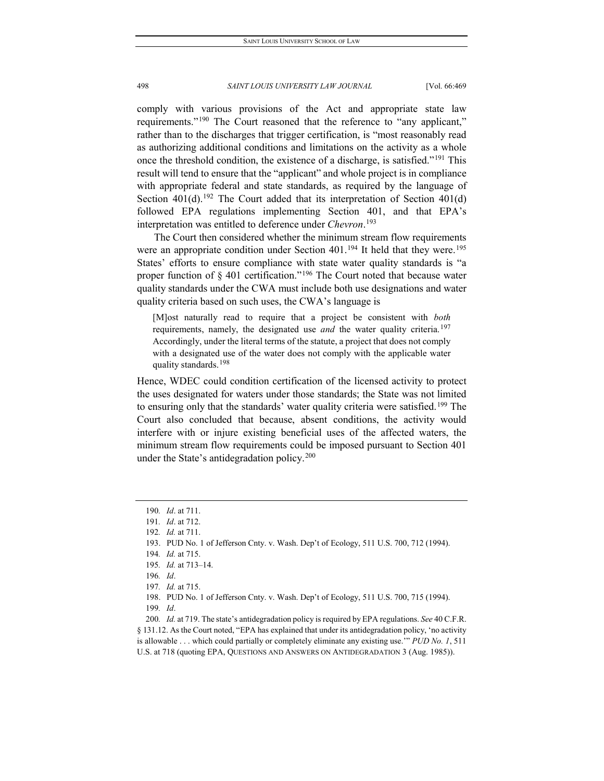comply with various provisions of the Act and appropriate state law requirements."<sup>[190](#page-30-0)</sup> The Court reasoned that the reference to "any applicant," rather than to the discharges that trigger certification, is "most reasonably read as authorizing additional conditions and limitations on the activity as a whole once the threshold condition, the existence of a discharge, is satisfied."[191](#page-30-1) This result will tend to ensure that the "applicant" and whole project is in compliance with appropriate federal and state standards, as required by the language of Section  $401(d)$ .<sup>[192](#page-30-2)</sup> The Court added that its interpretation of Section  $401(d)$ followed EPA regulations implementing Section 401, and that EPA's interpretation was entitled to deference under *Chevron*. [193](#page-30-3)

The Court then considered whether the minimum stream flow requirements were an appropriate condition under Section 401.<sup>[194](#page-30-4)</sup> It held that they were.<sup>[195](#page-30-5)</sup> States' efforts to ensure compliance with state water quality standards is "a proper function of  $\S$  401 certification."<sup>[196](#page-30-6)</sup> The Court noted that because water quality standards under the CWA must include both use designations and water quality criteria based on such uses, the CWA's language is

[M]ost naturally read to require that a project be consistent with *both* requirements, namely, the designated use *and* the water quality criteria.<sup>[197](#page-30-7)</sup> Accordingly, under the literal terms of the statute, a project that does not comply with a designated use of the water does not comply with the applicable water quality standards.[198](#page-30-8)

Hence, WDEC could condition certification of the licensed activity to protect the uses designated for waters under those standards; the State was not limited to ensuring only that the standards' water quality criteria were satisfied.<sup>[199](#page-30-9)</sup> The Court also concluded that because, absent conditions, the activity would interfere with or injure existing beneficial uses of the affected waters, the minimum stream flow requirements could be imposed pursuant to Section 401 under the State's antidegradation policy.<sup>[200](#page-30-10)</sup>

<sup>190</sup>*. Id*. at 711.

<span id="page-30-1"></span><span id="page-30-0"></span><sup>191</sup>*. Id*. at 712.

<span id="page-30-3"></span><span id="page-30-2"></span><sup>192</sup>*. Id.* at 711.

<sup>193.</sup> PUD No. 1 of Jefferson Cnty. v. Wash. Dep't of Ecology, 511 U.S. 700, 712 (1994).

<sup>194</sup>*. Id.* at 715.

<span id="page-30-5"></span><span id="page-30-4"></span><sup>195</sup>*. Id.* at 713–14.

<sup>196</sup>*. Id*.

<sup>197</sup>*. Id.* at 715.

<sup>198.</sup> PUD No. 1 of Jefferson Cnty. v. Wash. Dep't of Ecology, 511 U.S. 700, 715 (1994).

<sup>199</sup>*. Id*.

<span id="page-30-10"></span><span id="page-30-9"></span><span id="page-30-8"></span><span id="page-30-7"></span><span id="page-30-6"></span><sup>200</sup>*. Id.* at 719. The state's antidegradation policy is required by EPA regulations. *See* 40 C.F.R. § 131.12. As the Court noted, "EPA has explained that under its antidegradation policy, 'no activity is allowable . . . which could partially or completely eliminate any existing use.'" *PUD No. 1*, 511 U.S. at 718 (quoting EPA, QUESTIONS AND ANSWERS ON ANTIDEGRADATION 3 (Aug. 1985)).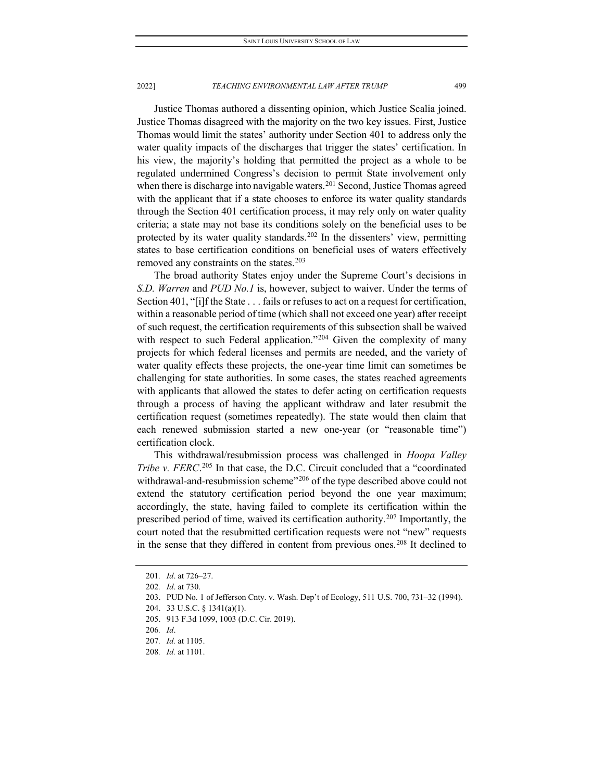Justice Thomas authored a dissenting opinion, which Justice Scalia joined. Justice Thomas disagreed with the majority on the two key issues. First, Justice Thomas would limit the states' authority under Section 401 to address only the water quality impacts of the discharges that trigger the states' certification. In his view, the majority's holding that permitted the project as a whole to be regulated undermined Congress's decision to permit State involvement only when there is discharge into navigable waters.<sup>[201](#page-31-0)</sup> Second, Justice Thomas agreed with the applicant that if a state chooses to enforce its water quality standards through the Section 401 certification process, it may rely only on water quality criteria; a state may not base its conditions solely on the beneficial uses to be protected by its water quality standards.<sup>[202](#page-31-1)</sup> In the dissenters' view, permitting states to base certification conditions on beneficial uses of waters effectively removed any constraints on the states.<sup>[203](#page-31-2)</sup>

The broad authority States enjoy under the Supreme Court's decisions in *S.D. Warren* and *PUD No.1* is, however, subject to waiver. Under the terms of Section 401, "[i]f the State . . . fails or refuses to act on a request for certification, within a reasonable period of time (which shall not exceed one year) after receipt of such request, the certification requirements of this subsection shall be waived with respect to such Federal application."<sup>[204](#page-31-3)</sup> Given the complexity of many projects for which federal licenses and permits are needed, and the variety of water quality effects these projects, the one-year time limit can sometimes be challenging for state authorities. In some cases, the states reached agreements with applicants that allowed the states to defer acting on certification requests through a process of having the applicant withdraw and later resubmit the certification request (sometimes repeatedly). The state would then claim that each renewed submission started a new one-year (or "reasonable time") certification clock.

This withdrawal/resubmission process was challenged in *Hoopa Valley*  Tribe v. FERC.<sup>[205](#page-31-4)</sup> In that case, the D.C. Circuit concluded that a "coordinated withdrawal-and-resubmission scheme"<sup>[206](#page-31-5)</sup> of the type described above could not extend the statutory certification period beyond the one year maximum; accordingly, the state, having failed to complete its certification within the prescribed period of time, waived its certification authority. [207](#page-31-6) Importantly, the court noted that the resubmitted certification requests were not "new" requests in the sense that they differed in content from previous ones.<sup>[208](#page-31-7)</sup> It declined to

<span id="page-31-0"></span><sup>201</sup>*. Id*. at 726–27.

<span id="page-31-1"></span><sup>202</sup>*. Id*. at 730.

<span id="page-31-2"></span><sup>203.</sup> PUD No. 1 of Jefferson Cnty. v. Wash. Dep't of Ecology, 511 U.S. 700, 731–32 (1994).

<span id="page-31-3"></span><sup>204.</sup> 33 U.S.C. § 1341(a)(1).

<span id="page-31-4"></span><sup>205.</sup> 913 F.3d 1099, 1003 (D.C. Cir. 2019).

<span id="page-31-5"></span><sup>206</sup>*. Id*.

<span id="page-31-6"></span><sup>207</sup>*. Id.* at 1105.

<span id="page-31-7"></span><sup>208</sup>*. Id.* at 1101.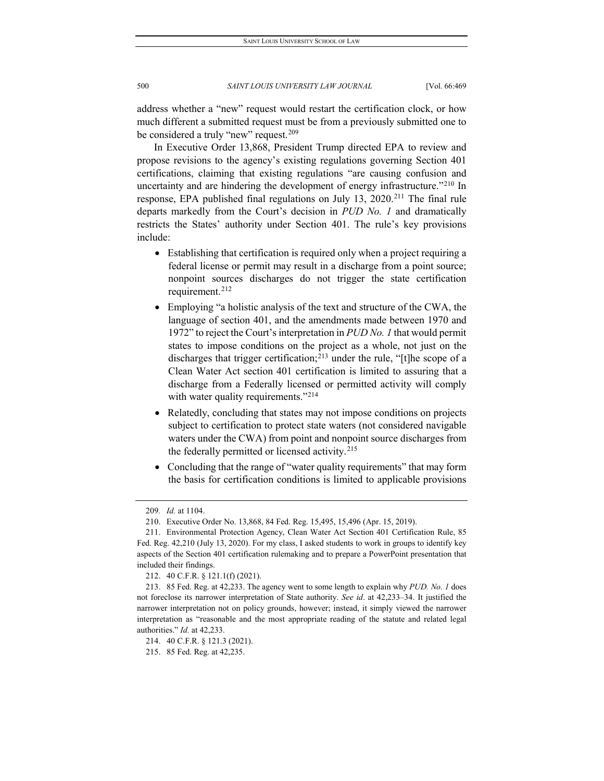address whether a "new" request would restart the certification clock, or how much different a submitted request must be from a previously submitted one to be considered a truly "new" request.<sup>[209](#page-32-0)</sup>

In Executive Order 13,868, President Trump directed EPA to review and propose revisions to the agency's existing regulations governing Section 401 certifications, claiming that existing regulations "are causing confusion and uncertainty and are hindering the development of energy infrastructure."<sup>[210](#page-32-1)</sup> In response, EPA published final regulations on July 13,  $2020$ <sup>[211](#page-32-2)</sup> The final rule departs markedly from the Court's decision in *PUD No. 1* and dramatically restricts the States' authority under Section 401. The rule's key provisions include:

- Establishing that certification is required only when a project requiring a federal license or permit may result in a discharge from a point source; nonpoint sources discharges do not trigger the state certification requirement.[212](#page-32-3)
- Employing "a holistic analysis of the text and structure of the CWA, the language of section 401, and the amendments made between 1970 and 1972" to reject the Court's interpretation in *PUD No. 1* that would permit states to impose conditions on the project as a whole, not just on the discharges that trigger certification;<sup>213</sup> under the rule, "[t]he scope of a Clean Water Act section 401 certification is limited to assuring that a discharge from a Federally licensed or permitted activity will comply with water quality requirements."<sup>[214](#page-32-5)</sup>
- Relatedly, concluding that states may not impose conditions on projects subject to certification to protect state waters (not considered navigable waters under the CWA) from point and nonpoint source discharges from the federally permitted or licensed activity.<sup>[215](#page-32-6)</sup>
- Concluding that the range of "water quality requirements" that may form the basis for certification conditions is limited to applicable provisions

<sup>209</sup>*. Id.* at 1104.

<sup>210.</sup> Executive Order No. 13,868, 84 Fed. Reg. 15,495, 15,496 (Apr. 15, 2019).

<span id="page-32-2"></span><span id="page-32-1"></span><span id="page-32-0"></span><sup>211.</sup> Environmental Protection Agency, Clean Water Act Section 401 Certification Rule, 85 Fed. Reg. 42,210 (July 13, 2020). For my class, I asked students to work in groups to identify key aspects of the Section 401 certification rulemaking and to prepare a PowerPoint presentation that included their findings.

<sup>212.</sup> 40 C.F.R. § 121.1(f) (2021).

<span id="page-32-4"></span><span id="page-32-3"></span><sup>213.</sup> 85 Fed. Reg. at 42,233. The agency went to some length to explain why *PUD. No. 1* does not foreclose its narrower interpretation of State authority. *See id*. at 42,233–34. It justified the narrower interpretation not on policy grounds, however; instead, it simply viewed the narrower interpretation as "reasonable and the most appropriate reading of the statute and related legal authorities." *Id.* at 42,233.

<sup>214.</sup> 40 C.F.R. § 121.3 (2021).

<span id="page-32-6"></span><span id="page-32-5"></span><sup>215.</sup> 85 Fed. Reg. at 42,235.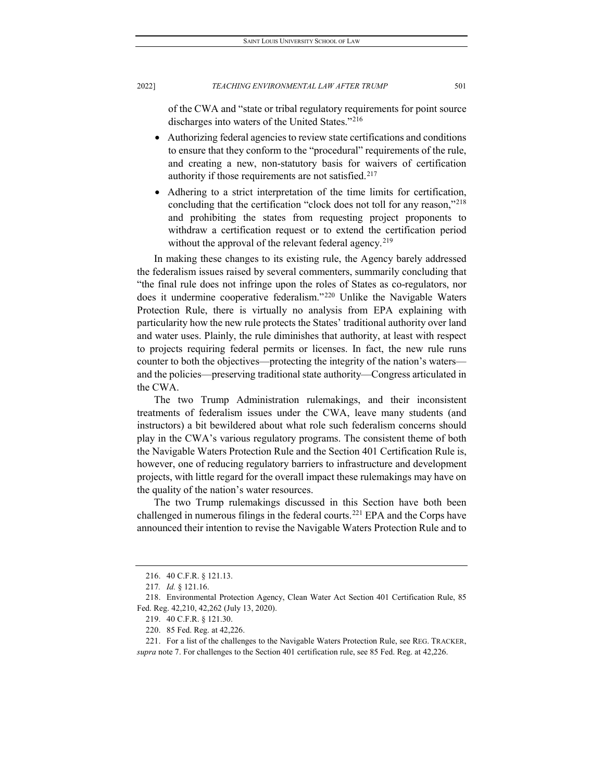of the CWA and "state or tribal regulatory requirements for point source discharges into waters of the United States.["216](#page-33-0)

- Authorizing federal agencies to review state certifications and conditions to ensure that they conform to the "procedural" requirements of the rule, and creating a new, non-statutory basis for waivers of certification authority if those requirements are not satisfied.<sup>[217](#page-33-1)</sup>
- Adhering to a strict interpretation of the time limits for certification, concluding that the certification "clock does not toll for any reason,["218](#page-33-2) and prohibiting the states from requesting project proponents to withdraw a certification request or to extend the certification period without the approval of the relevant federal agency.<sup>[219](#page-33-3)</sup>

In making these changes to its existing rule, the Agency barely addressed the federalism issues raised by several commenters, summarily concluding that "the final rule does not infringe upon the roles of States as co-regulators, nor does it undermine cooperative federalism."[220](#page-33-4) Unlike the Navigable Waters Protection Rule, there is virtually no analysis from EPA explaining with particularity how the new rule protects the States' traditional authority over land and water uses. Plainly, the rule diminishes that authority, at least with respect to projects requiring federal permits or licenses. In fact, the new rule runs counter to both the objectives—protecting the integrity of the nation's waters and the policies—preserving traditional state authority—Congress articulated in the CWA.

The two Trump Administration rulemakings, and their inconsistent treatments of federalism issues under the CWA, leave many students (and instructors) a bit bewildered about what role such federalism concerns should play in the CWA's various regulatory programs. The consistent theme of both the Navigable Waters Protection Rule and the Section 401 Certification Rule is, however, one of reducing regulatory barriers to infrastructure and development projects, with little regard for the overall impact these rulemakings may have on the quality of the nation's water resources.

The two Trump rulemakings discussed in this Section have both been challenged in numerous filings in the federal courts.<sup>[221](#page-33-5)</sup> EPA and the Corps have announced their intention to revise the Navigable Waters Protection Rule and to

<sup>216.</sup> 40 C.F.R. § 121.13.

<sup>217</sup>*. Id.* § 121.16.

<span id="page-33-3"></span><span id="page-33-2"></span><span id="page-33-1"></span><span id="page-33-0"></span><sup>218.</sup> Environmental Protection Agency, Clean Water Act Section 401 Certification Rule, 85 Fed. Reg. 42,210, 42,262 (July 13, 2020).

<sup>219.</sup> 40 C.F.R. § 121.30.

<sup>220.</sup> 85 Fed. Reg. at 42,226.

<span id="page-33-5"></span><span id="page-33-4"></span><sup>221.</sup> For a list of the challenges to the Navigable Waters Protection Rule, see REG. TRACKER, *supra* note 7. For challenges to the Section 401 certification rule, see 85 Fed. Reg. at 42,226.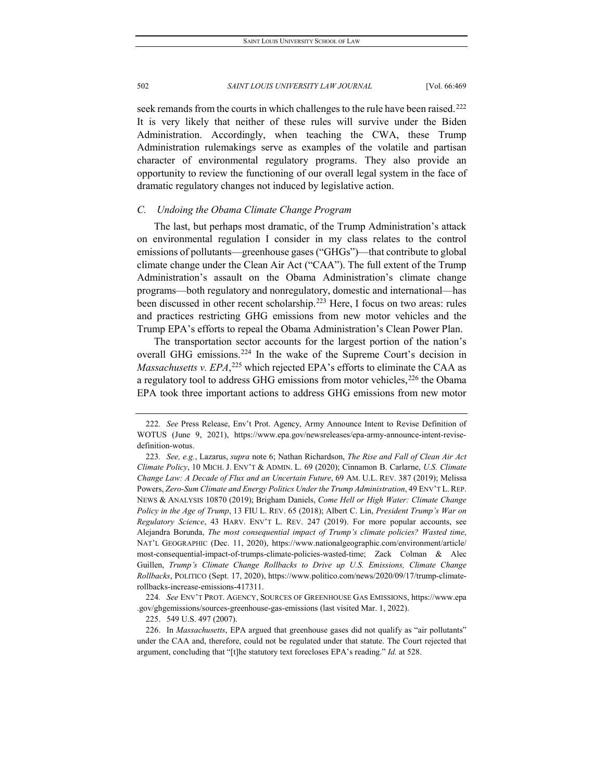seek remands from the courts in which challenges to the rule have been raised.<sup>[222](#page-34-0)</sup> It is very likely that neither of these rules will survive under the Biden Administration. Accordingly, when teaching the CWA, these Trump Administration rulemakings serve as examples of the volatile and partisan character of environmental regulatory programs. They also provide an opportunity to review the functioning of our overall legal system in the face of dramatic regulatory changes not induced by legislative action.

#### *C. Undoing the Obama Climate Change Program*

The last, but perhaps most dramatic, of the Trump Administration's attack on environmental regulation I consider in my class relates to the control emissions of pollutants—greenhouse gases ("GHGs")—that contribute to global climate change under the Clean Air Act ("CAA"). The full extent of the Trump Administration's assault on the Obama Administration's climate change programs—both regulatory and nonregulatory, domestic and international—has been discussed in other recent scholarship.<sup>[223](#page-34-1)</sup> Here, I focus on two areas: rules and practices restricting GHG emissions from new motor vehicles and the Trump EPA's efforts to repeal the Obama Administration's Clean Power Plan.

The transportation sector accounts for the largest portion of the nation's overall GHG emissions.[224](#page-34-2) In the wake of the Supreme Court's decision in Massachusetts v. EPA,<sup>[225](#page-34-3)</sup> which rejected EPA's efforts to eliminate the CAA as a regulatory tool to address GHG emissions from motor vehicles,<sup>[226](#page-34-4)</sup> the Obama EPA took three important actions to address GHG emissions from new motor

225. 549 U.S. 497 (2007).

<span id="page-34-0"></span><sup>222</sup>*. See* Press Release, Env't Prot. Agency, Army Announce Intent to Revise Definition of WOTUS (June 9, 2021), https://www.epa.gov/newsreleases/epa-army-announce-intent-revisedefinition-wotus.

<span id="page-34-1"></span><sup>223</sup>*. See, e.g.*, Lazarus, *supra* note 6; Nathan Richardson, *The Rise and Fall of Clean Air Act Climate Policy*, 10 MICH. J. ENV'T & ADMIN. L. 69 (2020); Cinnamon B. Carlarne, *U.S. Climate Change Law: A Decade of Flux and an Uncertain Future*, 69 AM. U.L. REV. 387 (2019); Melissa Powers, *Zero-Sum Climate and Energy Politics Under the Trump Administration*, 49 ENV'T L. REP. NEWS & ANALYSIS 10870 (2019); Brigham Daniels, *Come Hell or High Water: Climate Change Policy in the Age of Trump*, 13 FIU L. REV. 65 (2018); Albert C. Lin, *President Trump's War on Regulatory Science*, 43 HARV. ENV'T L. REV. 247 (2019). For more popular accounts, see Alejandra Borunda, *The most consequential impact of Trump's climate policies? Wasted time*, NAT'L GEOGRAPHIC (Dec. 11, 2020), https://www.nationalgeographic.com/environment/article/ most-consequential-impact-of-trumps-climate-policies-wasted-time; Zack Colman & Alec Guillen, *Trump's Climate Change Rollbacks to Drive up U.S. Emissions, Climate Change Rollbacks*, POLITICO (Sept. 17, 2020), https://www.politico.com/news/2020/09/17/trump-climaterollbacks-increase-emissions-417311.

<span id="page-34-2"></span><sup>224</sup>*. See* ENV'T PROT. AGENCY, SOURCES OF GREENHOUSE GAS EMISSIONS, https://www.epa .gov/ghgemissions/sources-greenhouse-gas-emissions (last visited Mar. 1, 2022).

<span id="page-34-4"></span><span id="page-34-3"></span><sup>226.</sup> In *Massachusetts*, EPA argued that greenhouse gases did not qualify as "air pollutants" under the CAA and, therefore, could not be regulated under that statute. The Court rejected that argument, concluding that "[t]he statutory text forecloses EPA's reading." *Id.* at 528.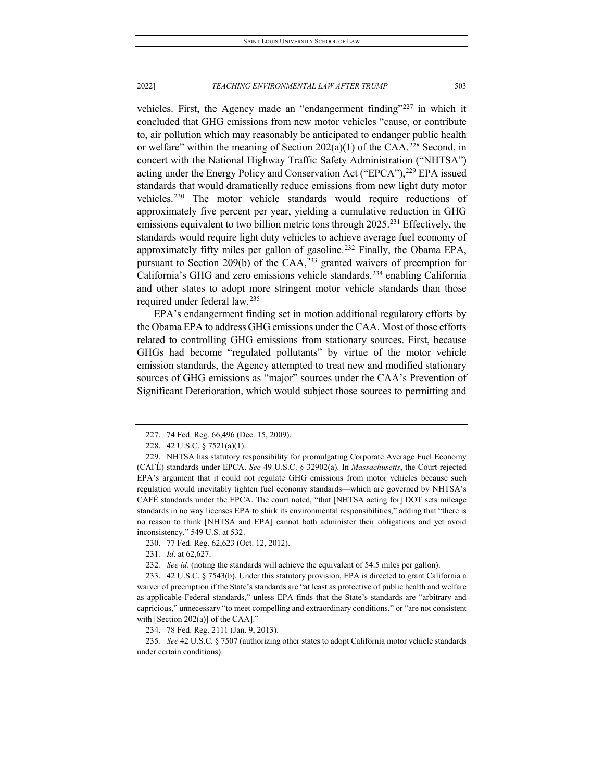vehicles. First, the Agency made an "endangerment finding"[227](#page-35-0) in which it concluded that GHG emissions from new motor vehicles "cause, or contribute to, air pollution which may reasonably be anticipated to endanger public health or welfare" within the meaning of Section  $202(a)(1)$  of the CAA.<sup>[228](#page-35-1)</sup> Second, in concert with the National Highway Traffic Safety Administration ("NHTSA") acting under the Energy Policy and Conservation Act ("EPCA"),<sup>[229](#page-35-2)</sup> EPA issued standards that would dramatically reduce emissions from new light duty motor vehicles.<sup>[230](#page-35-3)</sup> The motor vehicle standards would require reductions of approximately five percent per year, yielding a cumulative reduction in GHG emissions equivalent to two billion metric tons through 2025.<sup>[231](#page-35-4)</sup> Effectively, the standards would require light duty vehicles to achieve average fuel economy of approximately fifty miles per gallon of gasoline.[232](#page-35-5) Finally, the Obama EPA, pursuant to Section 209(b) of the CAA,<sup>233</sup> granted waivers of preemption for California's GHG and zero emissions vehicle standards,  $234$  enabling California and other states to adopt more stringent motor vehicle standards than those required under federal law.[235](#page-35-8)

EPA's endangerment finding set in motion additional regulatory efforts by the Obama EPA to address GHG emissions under the CAA. Most of those efforts related to controlling GHG emissions from stationary sources. First, because GHGs had become "regulated pollutants" by virtue of the motor vehicle emission standards, the Agency attempted to treat new and modified stationary sources of GHG emissions as "major" sources under the CAA's Prevention of Significant Deterioration, which would subject those sources to permitting and

234. 78 Fed. Reg. 2111 (Jan. 9, 2013).

<span id="page-35-8"></span><span id="page-35-7"></span>235*. See* 42 U.S.C. § 7507 (authorizing other states to adopt California motor vehicle standards under certain conditions).

<sup>227.</sup> 74 Fed. Reg. 66,496 (Dec. 15, 2009).

<sup>228.</sup> 42 U.S.C. § 7521(a)(1).

<span id="page-35-2"></span><span id="page-35-1"></span><span id="page-35-0"></span><sup>229.</sup> NHTSA has statutory responsibility for promulgating Corporate Average Fuel Economy (CAFÉ) standards under EPCA. *See* 49 U.S.C. § 32902(a). In *Massachusetts*, the Court rejected EPA's argument that it could not regulate GHG emissions from motor vehicles because such regulation would inevitably tighten fuel economy standards—which are governed by NHTSA's CAFÉ standards under the EPCA. The court noted, "that [NHTSA acting for] DOT sets mileage standards in no way licenses EPA to shirk its environmental responsibilities," adding that "there is no reason to think [NHTSA and EPA] cannot both administer their obligations and yet avoid inconsistency." 549 U.S. at 532.

<sup>230.</sup> 77 Fed. Reg. 62,623 (Oct. 12, 2012).

<sup>231</sup>*. Id*. at 62,627.

<sup>232</sup>*. See id*. (noting the standards will achieve the equivalent of 54.5 miles per gallon).

<span id="page-35-6"></span><span id="page-35-5"></span><span id="page-35-4"></span><span id="page-35-3"></span><sup>233.</sup> 42 U.S.C. § 7543(b). Under this statutory provision, EPA is directed to grant California a waiver of preemption if the State's standards are "at least as protective of public health and welfare as applicable Federal standards," unless EPA finds that the State's standards are "arbitrary and capricious," unnecessary "to meet compelling and extraordinary conditions," or "are not consistent with [Section 202(a)] of the CAA]."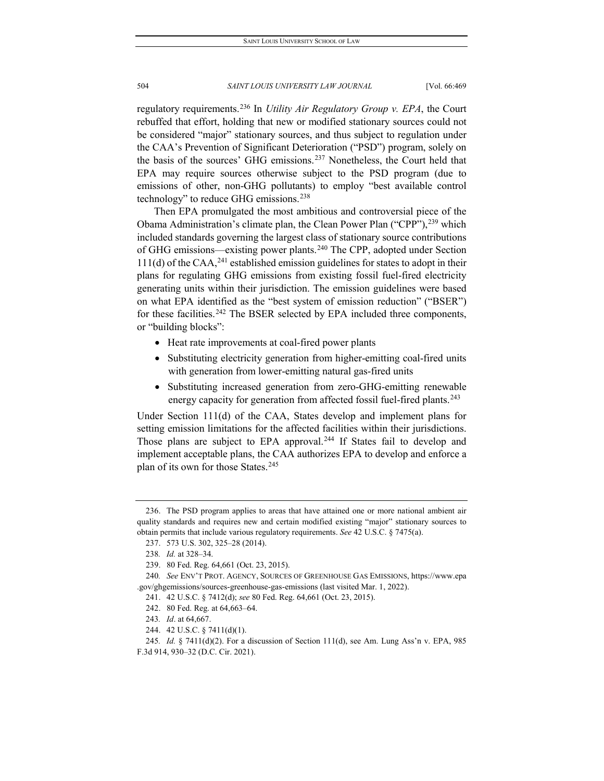regulatory requirements.[236](#page-36-0) In *Utility Air Regulatory Group v. EPA*, the Court rebuffed that effort, holding that new or modified stationary sources could not be considered "major" stationary sources, and thus subject to regulation under the CAA's Prevention of Significant Deterioration ("PSD") program, solely on the basis of the sources' GHG emissions.[237](#page-36-1) Nonetheless, the Court held that EPA may require sources otherwise subject to the PSD program (due to emissions of other, non-GHG pollutants) to employ "best available control technology" to reduce GHG emissions.<sup>[238](#page-36-2)</sup>

Then EPA promulgated the most ambitious and controversial piece of the Obama Administration's climate plan, the Clean Power Plan ("CPP"), <sup>[239](#page-36-3)</sup> which included standards governing the largest class of stationary source contributions of GHG emissions—existing power plants.<sup>[240](#page-36-4)</sup> The CPP, adopted under Section  $111(d)$  of the CAA,<sup>[241](#page-36-5)</sup> established emission guidelines for states to adopt in their plans for regulating GHG emissions from existing fossil fuel-fired electricity generating units within their jurisdiction. The emission guidelines were based on what EPA identified as the "best system of emission reduction" ("BSER") for these facilities.<sup>[242](#page-36-6)</sup> The BSER selected by EPA included three components, or "building blocks":

- Heat rate improvements at coal-fired power plants
- Substituting electricity generation from higher-emitting coal-fired units with generation from lower-emitting natural gas-fired units
- Substituting increased generation from zero-GHG-emitting renewable energy capacity for generation from affected fossil fuel-fired plants.<sup>[243](#page-36-7)</sup>

Under Section 111(d) of the CAA, States develop and implement plans for setting emission limitations for the affected facilities within their jurisdictions. Those plans are subject to EPA approval.<sup>[244](#page-36-8)</sup> If States fail to develop and implement acceptable plans, the CAA authorizes EPA to develop and enforce a plan of its own for those States.<sup>[245](#page-36-9)</sup>

<span id="page-36-1"></span><span id="page-36-0"></span><sup>236.</sup> The PSD program applies to areas that have attained one or more national ambient air quality standards and requires new and certain modified existing "major" stationary sources to obtain permits that include various regulatory requirements. *See* 42 U.S.C. § 7475(a).

<sup>237.</sup> 573 U.S. 302, 325–28 (2014).

<sup>238</sup>*. Id.* at 328–34.

<sup>239.</sup> 80 Fed. Reg. 64,661 (Oct. 23, 2015).

<span id="page-36-6"></span><span id="page-36-5"></span><span id="page-36-4"></span><span id="page-36-3"></span><span id="page-36-2"></span><sup>240</sup>*. See* ENV'T PROT. AGENCY, SOURCES OF GREENHOUSE GAS EMISSIONS, https://www.epa .gov/ghgemissions/sources-greenhouse-gas-emissions (last visited Mar. 1, 2022).

<sup>241.</sup> 42 U.S.C. § 7412(d); *see* 80 Fed. Reg. 64,661 (Oct. 23, 2015).

<sup>242.</sup> 80 Fed. Reg. at 64,663–64.

<sup>243</sup>*. Id*. at 64,667.

<sup>244.</sup> 42 U.S.C. § 7411(d)(1).

<span id="page-36-9"></span><span id="page-36-8"></span><span id="page-36-7"></span><sup>245</sup>*. Id.* § 7411(d)(2). For a discussion of Section 111(d), see Am. Lung Ass'n v. EPA, 985 F.3d 914, 930–32 (D.C. Cir. 2021).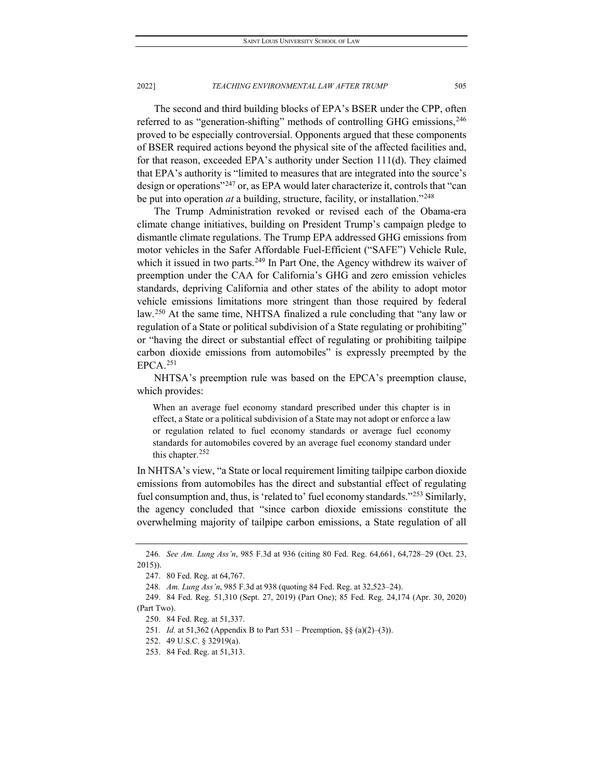The second and third building blocks of EPA's BSER under the CPP, often referred to as "generation-shifting" methods of controlling GHG emissions,[246](#page-37-0) proved to be especially controversial. Opponents argued that these components of BSER required actions beyond the physical site of the affected facilities and, for that reason, exceeded EPA's authority under Section 111(d). They claimed that EPA's authority is "limited to measures that are integrated into the source's design or operations"[247](#page-37-1) or, as EPA would later characterize it, controls that "can be put into operation *at* a building, structure, facility, or installation."[248](#page-37-2)

The Trump Administration revoked or revised each of the Obama-era climate change initiatives, building on President Trump's campaign pledge to dismantle climate regulations. The Trump EPA addressed GHG emissions from motor vehicles in the Safer Affordable Fuel-Efficient ("SAFE") Vehicle Rule, which it issued in two parts.<sup>249</sup> In Part One, the Agency withdrew its waiver of preemption under the CAA for California's GHG and zero emission vehicles standards, depriving California and other states of the ability to adopt motor vehicle emissions limitations more stringent than those required by federal law.<sup>[250](#page-37-4)</sup> At the same time, NHTSA finalized a rule concluding that "any law or regulation of a State or political subdivision of a State regulating or prohibiting" or "having the direct or substantial effect of regulating or prohibiting tailpipe carbon dioxide emissions from automobiles" is expressly preempted by the EPCA.[251](#page-37-5)

NHTSA's preemption rule was based on the EPCA's preemption clause, which provides:

When an average fuel economy standard prescribed under this chapter is in effect, a State or a political subdivision of a State may not adopt or enforce a law or regulation related to fuel economy standards or average fuel economy standards for automobiles covered by an average fuel economy standard under this chapter. $252$ 

In NHTSA's view, "a State or local requirement limiting tailpipe carbon dioxide emissions from automobiles has the direct and substantial effect of regulating fuel consumption and, thus, is 'related to' fuel economy standards."[253](#page-37-7) Similarly, the agency concluded that "since carbon dioxide emissions constitute the overwhelming majority of tailpipe carbon emissions, a State regulation of all

<span id="page-37-1"></span><span id="page-37-0"></span><sup>246</sup>*. See Am. Lung Ass'n*, 985 F.3d at 936 (citing 80 Fed. Reg. 64,661, 64,728–29 (Oct. 23, 2015)).

<sup>247.</sup> 80 Fed. Reg. at 64,767.

<sup>248</sup>*. Am. Lung Ass'n*, 985 F.3d at 938 (quoting 84 Fed. Reg. at 32,523–24).

<span id="page-37-6"></span><span id="page-37-5"></span><span id="page-37-4"></span><span id="page-37-3"></span><span id="page-37-2"></span><sup>249.</sup> 84 Fed. Reg. 51,310 (Sept. 27, 2019) (Part One); 85 Fed. Reg. 24,174 (Apr. 30, 2020) (Part Two).

<sup>250.</sup> 84 Fed. Reg. at 51,337.

<sup>251</sup>*. Id.* at 51,362 (Appendix B to Part 531 – Preemption, §§ (a)(2)–(3)).

<sup>252.</sup> 49 U.S.C. § 32919(a).

<span id="page-37-7"></span><sup>253.</sup> 84 Fed. Reg. at 51,313.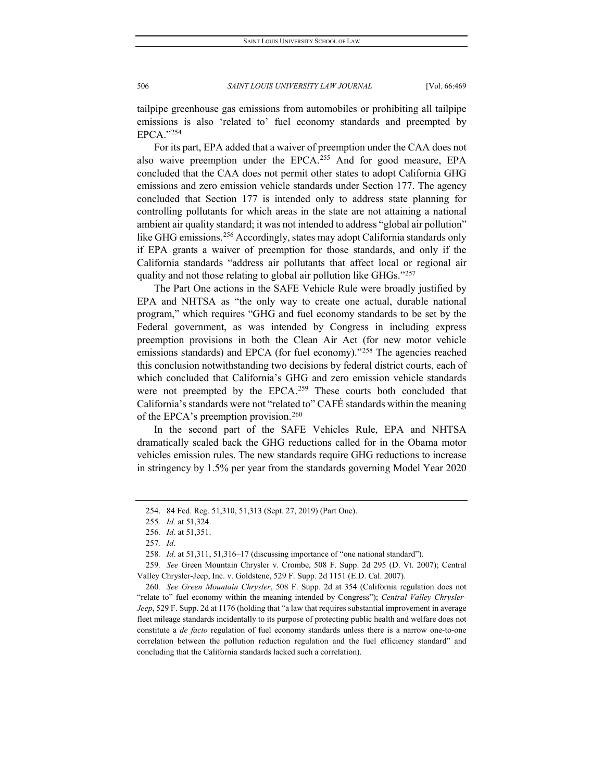tailpipe greenhouse gas emissions from automobiles or prohibiting all tailpipe emissions is also 'related to' fuel economy standards and preempted by EPCA."[254](#page-38-0)

For its part, EPA added that a waiver of preemption under the CAA does not also waive preemption under the EPCA.<sup>255</sup> And for good measure, EPA concluded that the CAA does not permit other states to adopt California GHG emissions and zero emission vehicle standards under Section 177. The agency concluded that Section 177 is intended only to address state planning for controlling pollutants for which areas in the state are not attaining a national ambient air quality standard; it was not intended to address "global air pollution" like GHG emissions.<sup>[256](#page-38-2)</sup> Accordingly, states may adopt California standards only if EPA grants a waiver of preemption for those standards, and only if the California standards "address air pollutants that affect local or regional air quality and not those relating to global air pollution like GHGs."[257](#page-38-3)

The Part One actions in the SAFE Vehicle Rule were broadly justified by EPA and NHTSA as "the only way to create one actual, durable national program," which requires "GHG and fuel economy standards to be set by the Federal government, as was intended by Congress in including express preemption provisions in both the Clean Air Act (for new motor vehicle emissions standards) and EPCA (for fuel economy)."<sup>[258](#page-38-4)</sup> The agencies reached this conclusion notwithstanding two decisions by federal district courts, each of which concluded that California's GHG and zero emission vehicle standards were not preempted by the EPCA.<sup>[259](#page-38-5)</sup> These courts both concluded that California's standards were not "related to" CAFÉ standards within the meaning of the EPCA's preemption provision.<sup>[260](#page-38-6)</sup>

In the second part of the SAFE Vehicles Rule, EPA and NHTSA dramatically scaled back the GHG reductions called for in the Obama motor vehicles emission rules. The new standards require GHG reductions to increase in stringency by 1.5% per year from the standards governing Model Year 2020

<span id="page-38-0"></span><sup>254.</sup> 84 Fed. Reg. 51,310, 51,313 (Sept. 27, 2019) (Part One).

<sup>255</sup>*. Id.* at 51,324.

<sup>256</sup>*. Id*. at 51,351.

<sup>257</sup>*. Id*.

<sup>258</sup>*. Id*. at 51,311, 51,316–17 (discussing importance of "one national standard").

<span id="page-38-5"></span><span id="page-38-4"></span><span id="page-38-3"></span><span id="page-38-2"></span><span id="page-38-1"></span><sup>259</sup>*. See* Green Mountain Chrysler v. Crombe, 508 F. Supp. 2d 295 (D. Vt. 2007); Central Valley Chrysler-Jeep, Inc. v. Goldstene, 529 F. Supp. 2d 1151 (E.D. Cal. 2007).

<span id="page-38-6"></span><sup>260</sup>*. See Green Mountain Chrysler*, 508 F. Supp. 2d at 354 (California regulation does not "relate to" fuel economy within the meaning intended by Congress"); *Central Valley Chrysler-Jeep*, 529 F. Supp. 2d at 1176 (holding that "a law that requires substantial improvement in average fleet mileage standards incidentally to its purpose of protecting public health and welfare does not constitute a *de facto* regulation of fuel economy standards unless there is a narrow one-to-one correlation between the pollution reduction regulation and the fuel efficiency standard" and concluding that the California standards lacked such a correlation).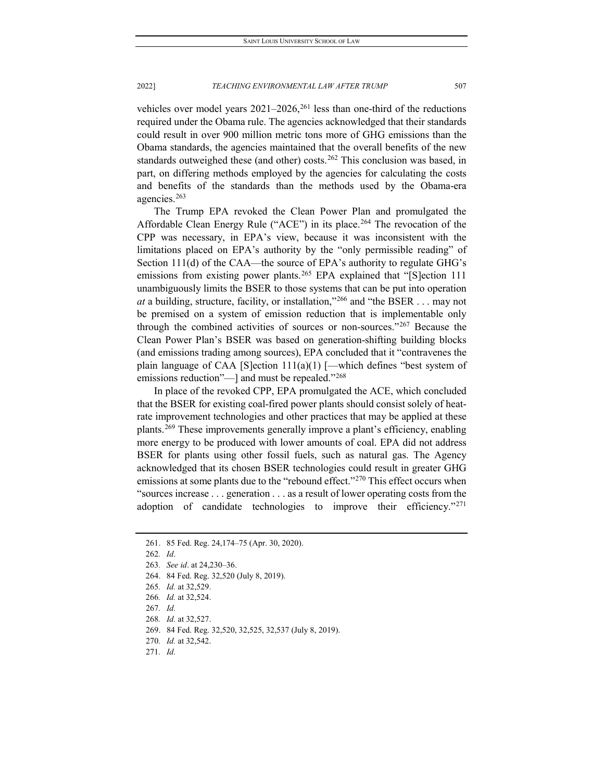vehicles over model years  $2021-2026$ ,<sup>261</sup> less than one-third of the reductions required under the Obama rule. The agencies acknowledged that their standards could result in over 900 million metric tons more of GHG emissions than the Obama standards, the agencies maintained that the overall benefits of the new standards outweighed these (and other) costs.<sup>[262](#page-39-1)</sup> This conclusion was based, in part, on differing methods employed by the agencies for calculating the costs and benefits of the standards than the methods used by the Obama-era agencies.[263](#page-39-2)

The Trump EPA revoked the Clean Power Plan and promulgated the Affordable Clean Energy Rule ("ACE") in its place.<sup>[264](#page-39-3)</sup> The revocation of the CPP was necessary, in EPA's view, because it was inconsistent with the limitations placed on EPA's authority by the "only permissible reading" of Section 111(d) of the CAA—the source of EPA's authority to regulate GHG's emissions from existing power plants.<sup>[265](#page-39-4)</sup> EPA explained that "[S]ection 111 unambiguously limits the BSER to those systems that can be put into operation *at* a building, structure, facility, or installation,"[266](#page-39-5) and "the BSER . . . may not be premised on a system of emission reduction that is implementable only through the combined activities of sources or non-sources."[267](#page-39-6) Because the Clean Power Plan's BSER was based on generation-shifting building blocks (and emissions trading among sources), EPA concluded that it "contravenes the plain language of CAA [S]ection  $111(a)(1)$  [—which defines "best system of emissions reduction"—] and must be repealed."<sup>[268](#page-39-7)</sup>

In place of the revoked CPP, EPA promulgated the ACE, which concluded that the BSER for existing coal-fired power plants should consist solely of heatrate improvement technologies and other practices that may be applied at these plants.[269](#page-39-8) These improvements generally improve a plant's efficiency, enabling more energy to be produced with lower amounts of coal. EPA did not address BSER for plants using other fossil fuels, such as natural gas. The Agency acknowledged that its chosen BSER technologies could result in greater GHG emissions at some plants due to the "rebound effect."<sup>270</sup> This effect occurs when "sources increase . . . generation . . . as a result of lower operating costs from the adoption of candidate technologies to improve their efficiency."<sup>[271](#page-39-10)</sup>

<span id="page-39-1"></span><span id="page-39-0"></span><sup>261.</sup> 85 Fed. Reg. 24,174–75 (Apr. 30, 2020).

<sup>262</sup>*. Id*.

<span id="page-39-2"></span><sup>263</sup>*. See id*. at 24,230–36.

<span id="page-39-3"></span><sup>264.</sup> 84 Fed. Reg. 32,520 (July 8, 2019).

<span id="page-39-4"></span><sup>265</sup>*. Id.* at 32,529.

<span id="page-39-5"></span><sup>266</sup>*. Id.* at 32,524.

<span id="page-39-6"></span><sup>267</sup>*. Id.*

<sup>268</sup>*. Id.* at 32,527.

<span id="page-39-9"></span><span id="page-39-8"></span><span id="page-39-7"></span><sup>269.</sup> 84 Fed. Reg. 32,520, 32,525, 32,537 (July 8, 2019).

<sup>270</sup>*. Id.* at 32,542.

<span id="page-39-10"></span><sup>271</sup>*. Id.*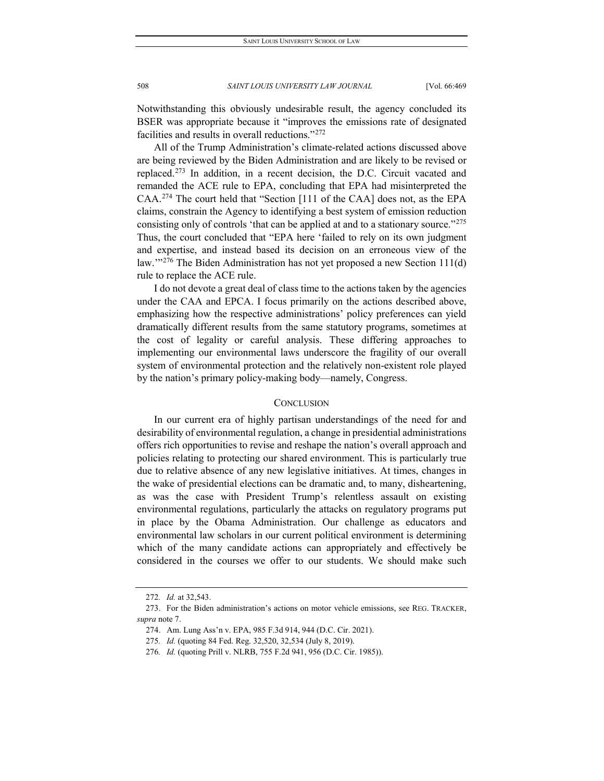Notwithstanding this obviously undesirable result, the agency concluded its BSER was appropriate because it "improves the emissions rate of designated facilities and results in overall reductions."[272](#page-40-0)

All of the Trump Administration's climate-related actions discussed above are being reviewed by the Biden Administration and are likely to be revised or replaced.[273](#page-40-1) In addition, in a recent decision, the D.C. Circuit vacated and remanded the ACE rule to EPA, concluding that EPA had misinterpreted the CAA.[274](#page-40-2) The court held that "Section [111 of the CAA] does not, as the EPA claims, constrain the Agency to identifying a best system of emission reduction consisting only of controls 'that can be applied at and to a stationary source."[275](#page-40-3) Thus, the court concluded that "EPA here 'failed to rely on its own judgment and expertise, and instead based its decision on an erroneous view of the law."<sup>[276](#page-40-4)</sup> The Biden Administration has not yet proposed a new Section 111(d) rule to replace the ACE rule.

I do not devote a great deal of class time to the actions taken by the agencies under the CAA and EPCA. I focus primarily on the actions described above, emphasizing how the respective administrations' policy preferences can yield dramatically different results from the same statutory programs, sometimes at the cost of legality or careful analysis. These differing approaches to implementing our environmental laws underscore the fragility of our overall system of environmental protection and the relatively non-existent role played by the nation's primary policy-making body—namely, Congress.

#### **CONCLUSION**

In our current era of highly partisan understandings of the need for and desirability of environmental regulation, a change in presidential administrations offers rich opportunities to revise and reshape the nation's overall approach and policies relating to protecting our shared environment. This is particularly true due to relative absence of any new legislative initiatives. At times, changes in the wake of presidential elections can be dramatic and, to many, disheartening, as was the case with President Trump's relentless assault on existing environmental regulations, particularly the attacks on regulatory programs put in place by the Obama Administration. Our challenge as educators and environmental law scholars in our current political environment is determining which of the many candidate actions can appropriately and effectively be considered in the courses we offer to our students. We should make such

<sup>272</sup>*. Id.* at 32,543.

<span id="page-40-4"></span><span id="page-40-3"></span><span id="page-40-2"></span><span id="page-40-1"></span><span id="page-40-0"></span><sup>273.</sup> For the Biden administration's actions on motor vehicle emissions, see REG. TRACKER, *supra* note 7.

<sup>274.</sup> Am. Lung Ass'n v. EPA, 985 F.3d 914, 944 (D.C. Cir. 2021).

<sup>275</sup>*. Id.* (quoting 84 Fed. Reg. 32,520, 32,534 (July 8, 2019).

<sup>276</sup>*. Id.* (quoting Prill v. NLRB, 755 F.2d 941, 956 (D.C. Cir. 1985)).